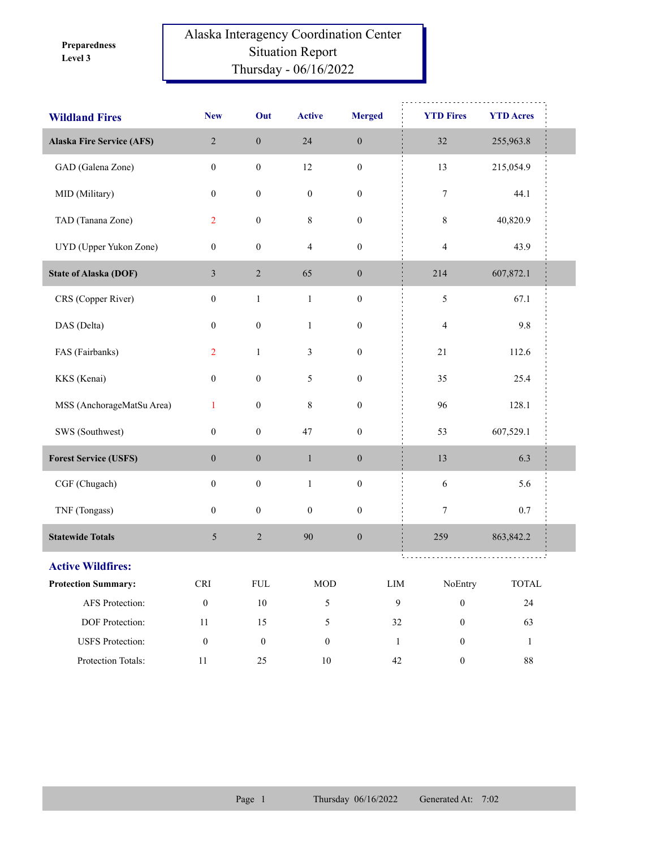**Level 3 Preparedness** 

## Alaska Interagency Coordination Center Situation Report Thursday - 06/16/2022

| <b>Wildland Fires</b>            | <b>New</b>           | Out              | <b>Active</b>    | <b>Merged</b>    | <b>YTD Fires</b>                 | <b>YTD Acres</b>            |  |
|----------------------------------|----------------------|------------------|------------------|------------------|----------------------------------|-----------------------------|--|
| <b>Alaska Fire Service (AFS)</b> | $\sqrt{2}$           | $\boldsymbol{0}$ | 24               | $\boldsymbol{0}$ | $32\,$                           | 255,963.8                   |  |
| GAD (Galena Zone)                | $\boldsymbol{0}$     | $\boldsymbol{0}$ | 12               | $\boldsymbol{0}$ | 13                               | 215,054.9                   |  |
| MID (Military)                   | $\boldsymbol{0}$     | $\boldsymbol{0}$ | $\boldsymbol{0}$ | $\boldsymbol{0}$ | $\boldsymbol{7}$                 | 44.1                        |  |
| TAD (Tanana Zone)                | $\overline{2}$       | $\boldsymbol{0}$ | $\,$ 8 $\,$      | $\boldsymbol{0}$ | $\,$ 8 $\,$                      | 40,820.9                    |  |
| UYD (Upper Yukon Zone)           | $\boldsymbol{0}$     | $\boldsymbol{0}$ | $\overline{4}$   | $\boldsymbol{0}$ | $\overline{4}$                   | 43.9                        |  |
| <b>State of Alaska (DOF)</b>     | $\mathfrak{Z}$       | $\sqrt{2}$       | 65               | $\boldsymbol{0}$ | 214                              | 607,872.1                   |  |
| CRS (Copper River)               | $\boldsymbol{0}$     | $\mathbf{1}$     | $\mathbf{1}$     | $\boldsymbol{0}$ | 5                                | 67.1                        |  |
| DAS (Delta)                      | $\boldsymbol{0}$     | $\boldsymbol{0}$ | $\mathbf{1}$     | $\boldsymbol{0}$ | $\overline{4}$                   | 9.8                         |  |
| FAS (Fairbanks)                  | $\overline{2}$       | $\mathbf{1}$     | 3                | $\boldsymbol{0}$ | 21                               | 112.6                       |  |
| KKS (Kenai)                      | $\boldsymbol{0}$     | $\boldsymbol{0}$ | 5                | $\boldsymbol{0}$ | 35                               | 25.4                        |  |
| MSS (AnchorageMatSu Area)        | $\mathbf{1}$         | $\boldsymbol{0}$ | $\,$ $\,$        | $\boldsymbol{0}$ | 96                               | 128.1                       |  |
| SWS (Southwest)                  | $\boldsymbol{0}$     | $\boldsymbol{0}$ | $47\,$           | $\boldsymbol{0}$ | 53                               | 607,529.1                   |  |
| <b>Forest Service (USFS)</b>     | $\boldsymbol{0}$     | $\boldsymbol{0}$ | $\,1$            | $\boldsymbol{0}$ | 13                               | 6.3                         |  |
| CGF (Chugach)                    | $\boldsymbol{0}$     | $\boldsymbol{0}$ | $\,1$            | $\boldsymbol{0}$ | $\sqrt{6}$                       | 5.6                         |  |
| TNF (Tongass)                    | $\mathbf{0}$         | $\boldsymbol{0}$ | $\boldsymbol{0}$ | $\boldsymbol{0}$ | 7                                | 0.7                         |  |
| <b>Statewide Totals</b>          | 5                    | $\sqrt{2}$       | 90               | $\boldsymbol{0}$ | 259                              | 863, 842.2                  |  |
| <b>Active Wildfires:</b>         |                      |                  |                  |                  | ti Li<br>.                       |                             |  |
| <b>Protection Summary:</b>       | $\operatorname{CRI}$ | ${\rm FUL}$      | $\rm MOD$        |                  | ${\rm LIM}$<br>NoEntry           | $\ensuremath{\text{TOTAL}}$ |  |
| AFS Protection:                  | $\boldsymbol{0}$     | $10\,$           | 5                |                  | $\mathbf{9}$<br>$\boldsymbol{0}$ | 24                          |  |
| DOF Protection:                  | $11\,$               | 15               | 5                |                  | 32<br>$\boldsymbol{0}$           | 63                          |  |
| <b>USFS</b> Protection:          | $\boldsymbol{0}$     | $\boldsymbol{0}$ | $\boldsymbol{0}$ |                  | $\mathbf{1}$<br>0                | $\mathbf{1}$                |  |
| Protection Totals:               | $11\,$               | 25               | $10\,$           |                  | $42\,$<br>$\boldsymbol{0}$       | $88\,$                      |  |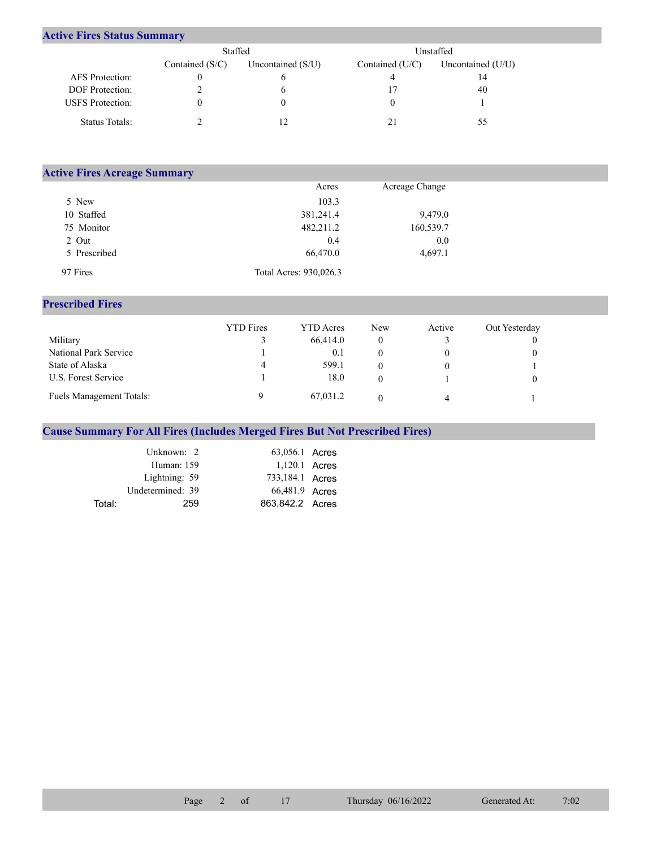## **Active Fires Status Summary**

|                         | Staffed           |                     | Unstaffed         |                   |  |  |
|-------------------------|-------------------|---------------------|-------------------|-------------------|--|--|
|                         | Contained $(S/C)$ | Uncontained $(S/U)$ | Contained $(U/C)$ | Uncontained (U/U) |  |  |
| AFS Protection:         |                   |                     |                   | 14                |  |  |
| <b>DOF</b> Protection:  |                   |                     |                   | 40                |  |  |
| <b>USFS</b> Protection: |                   |                     |                   |                   |  |  |
| Status Totals:          |                   |                     |                   | 55                |  |  |

| <b>Active Fires Acreage Summary</b> |                        |                |  |
|-------------------------------------|------------------------|----------------|--|
|                                     | Acres                  | Acreage Change |  |
| 5 New                               | 103.3                  |                |  |
| 10 Staffed                          | 381,241.4              | 9,479.0        |  |
| 75 Monitor                          | 482,211.2              | 160,539.7      |  |
| 2 Out                               | 0.4                    | 0.0            |  |
| 5 Prescribed                        | 66,470.0               | 4,697.1        |  |
| 97 Fires                            | Total Acres: 930,026.3 |                |  |

## **Prescribed Fires**

|                                 | <b>YTD</b> Fires | <b>YTD</b> Acres | New | Active | Out Yesterday |
|---------------------------------|------------------|------------------|-----|--------|---------------|
| Military                        |                  | 66,414.0         | 0   |        |               |
| National Park Service           |                  | 0.1              |     |        |               |
| State of Alaska                 | 4                | 599.1            |     |        |               |
| U.S. Forest Service             |                  | 18.0             | 0   |        |               |
| <b>Fuels Management Totals:</b> |                  | 67,031.2         |     |        |               |

## **Cause Summary For All Fires (Includes Merged Fires But Not Prescribed Fires)**

|        | Unknown: 2       | 63,056.1 Acres  |  |
|--------|------------------|-----------------|--|
|        | Human: 159       | 1,120.1 Acres   |  |
|        | Lightning: 59    | 733,184.1 Acres |  |
|        | Undetermined: 39 | 66,481.9 Acres  |  |
| Total: | 259              | 863.842.2 Acres |  |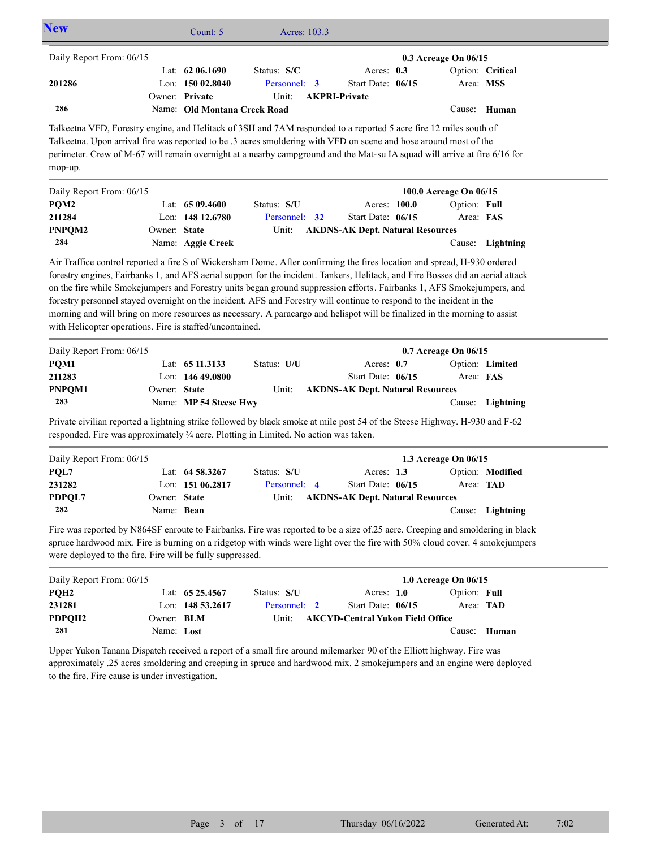| <b>New</b>                                                                                                                                                                                                                                                                                                                                                                     |                          | Count: 5                                       | Acres: 103.3                |                                         |                        |                  |
|--------------------------------------------------------------------------------------------------------------------------------------------------------------------------------------------------------------------------------------------------------------------------------------------------------------------------------------------------------------------------------|--------------------------|------------------------------------------------|-----------------------------|-----------------------------------------|------------------------|------------------|
| Daily Report From: 06/15                                                                                                                                                                                                                                                                                                                                                       |                          |                                                |                             |                                         | 0.3 Acreage On 06/15   |                  |
| 201286                                                                                                                                                                                                                                                                                                                                                                         |                          | Lat: 62 06.1690<br>Lon: 150 02.8040            | Status: S/C<br>Personnel: 3 | Acres: $0.3$<br>Start Date: 06/15       | Area: MSS              | Option: Critical |
| 286                                                                                                                                                                                                                                                                                                                                                                            |                          | Owner: Private<br>Name: Old Montana Creek Road | Unit:                       | <b>AKPRI-Private</b>                    |                        | Cause: Human     |
| Talkeetna VFD, Forestry engine, and Helitack of 3SH and 7AM responded to a reported 5 acre fire 12 miles south of<br>Talkeetna. Upon arrival fire was reported to be .3 acres smoldering with VFD on scene and hose around most of the<br>perimeter. Crew of M-67 will remain overnight at a nearby campground and the Mat-su IA squad will arrive at fire 6/16 for<br>mop-up. |                          |                                                |                             |                                         |                        |                  |
| Daily Report From: 06/15                                                                                                                                                                                                                                                                                                                                                       |                          |                                                |                             |                                         | 100.0 Acreage On 06/15 |                  |
| PQM2                                                                                                                                                                                                                                                                                                                                                                           |                          | Lat: 65 09.4600                                | Status: S/U                 | Acres: 100.0                            | Option: Full           |                  |
| 211284                                                                                                                                                                                                                                                                                                                                                                         |                          | Lon: 148 12.6780                               | Personnel:<br>32            | Start Date: 06/15                       | Area: FAS              |                  |
| PNPQM2                                                                                                                                                                                                                                                                                                                                                                         | Owner: State             |                                                | Unit:                       | <b>AKDNS-AK Dept. Natural Resources</b> |                        |                  |
| 284                                                                                                                                                                                                                                                                                                                                                                            |                          | Name: Aggie Creek                              |                             |                                         |                        | Cause: Lightning |
| forestry personnel stayed overnight on the incident. AFS and Forestry will continue to respond to the incident in the<br>morning and will bring on more resources as necessary. A paracargo and helispot will be finalized in the morning to assist<br>with Helicopter operations. Fire is staffed/uncontained.                                                                |                          |                                                |                             |                                         |                        |                  |
| Daily Report From: 06/15                                                                                                                                                                                                                                                                                                                                                       |                          |                                                |                             |                                         | 0.7 Acreage On 06/15   |                  |
| PQM1                                                                                                                                                                                                                                                                                                                                                                           |                          | Lat: 65 11.3133                                | Status: U/U                 | Acres: 0.7                              |                        | Option: Limited  |
| 211283                                                                                                                                                                                                                                                                                                                                                                         |                          | Lon: $14649.0800$                              |                             | Start Date: 06/15                       | Area: FAS              |                  |
| PNPQM1<br>283                                                                                                                                                                                                                                                                                                                                                                  | Owner: State             | Name: MP 54 Steese Hwy                         | Unit:                       | <b>AKDNS-AK Dept. Natural Resources</b> |                        | Cause: Lightning |
| Private civilian reported a lightning strike followed by black smoke at mile post 54 of the Steese Highway. H-930 and F-62<br>responded. Fire was approximately 3/4 acre. Plotting in Limited. No action was taken.                                                                                                                                                            |                          |                                                |                             |                                         |                        |                  |
| Daily Report From: 06/15                                                                                                                                                                                                                                                                                                                                                       |                          |                                                |                             |                                         | 1.3 Acreage On 06/15   |                  |
| PQL7                                                                                                                                                                                                                                                                                                                                                                           |                          | Lat: $64\,58.3267$                             | Status: S/U                 | Acres: 1.3                              |                        | Option: Modified |
| 231282                                                                                                                                                                                                                                                                                                                                                                         |                          | Lon: 151 06.2817                               | Personnel: 4                | Start Date: 06/15                       | Area: TAD              |                  |
| PDPQL7                                                                                                                                                                                                                                                                                                                                                                         | Owner: State             |                                                | Unit:                       | <b>AKDNS-AK Dept. Natural Resources</b> |                        |                  |
| 282                                                                                                                                                                                                                                                                                                                                                                            | Name: Bean               |                                                |                             |                                         |                        | Cause: Lightning |
| Fire was reported by N864SF enroute to Fairbanks. Fire was reported to be a size of.25 acre. Creeping and smoldering in black<br>spruce hardwood mix. Fire is burning on a ridgetop with winds were light over the fire with 50% cloud cover. 4 smokejumpers<br>were deployed to the fire. Fire will be fully suppressed.                                                      |                          |                                                |                             |                                         |                        |                  |
| Daily Report From: 06/15                                                                                                                                                                                                                                                                                                                                                       |                          |                                                |                             |                                         | 1.0 Acreage On 06/15   |                  |
| PQH <sub>2</sub>                                                                                                                                                                                                                                                                                                                                                               |                          | Lat: 65 25.4567                                | Status: S/U                 | Acres: 1.0                              | Option: Full           |                  |
| 231281                                                                                                                                                                                                                                                                                                                                                                         |                          | Lon: 148 53.2617                               | Personnel:<br>$\mathbf{2}$  | Start Date: 06/15                       | Area: TAD              |                  |
| PDPQH2<br>281                                                                                                                                                                                                                                                                                                                                                                  | Owner: BLM<br>Name: Lost |                                                | Unit:                       | <b>AKCYD-Central Yukon Field Office</b> |                        | Cause: Human     |
| Upper Yukon Tanana Dispatch received a report of a small fire around milemarker 90 of the Elliott highway. Fire was<br>approximately .25 acres smoldering and creeping in spruce and hardwood mix. 2 smokejumpers and an engine were deployed                                                                                                                                  |                          |                                                |                             |                                         |                        |                  |

to the fire. Fire cause is under investigation.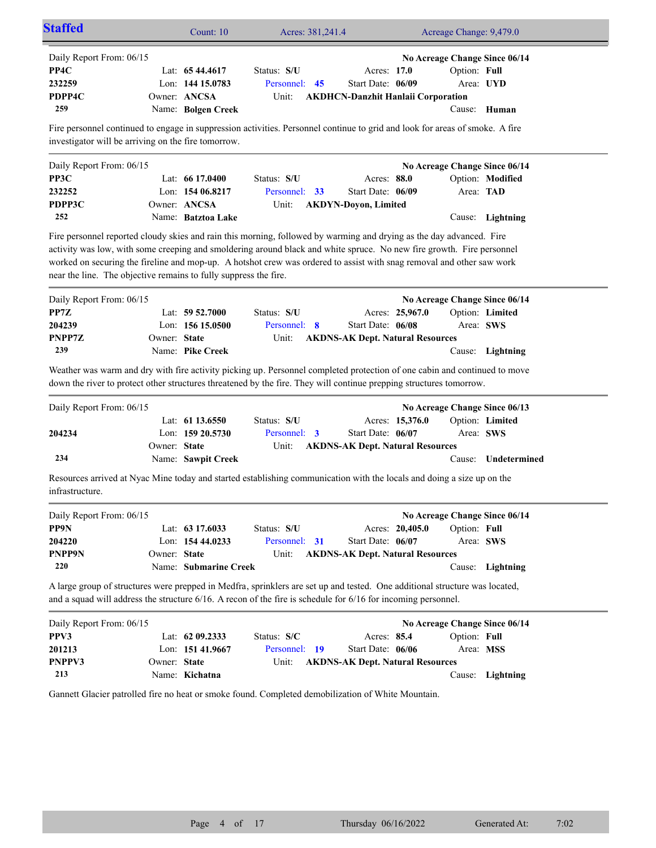| Daily Report From: 06/15                                                                                                          |              |                       |                                                                                                                                                                                                                                                                                                                                                                        |                                           |                 |              | No Acreage Change Since 06/14 |
|-----------------------------------------------------------------------------------------------------------------------------------|--------------|-----------------------|------------------------------------------------------------------------------------------------------------------------------------------------------------------------------------------------------------------------------------------------------------------------------------------------------------------------------------------------------------------------|-------------------------------------------|-----------------|--------------|-------------------------------|
| PP4C                                                                                                                              |              | Lat: $6544.4617$      | Status: S/U                                                                                                                                                                                                                                                                                                                                                            | Acres: 17.0                               |                 | Option: Full |                               |
| 232259                                                                                                                            |              | Lon: 144 15.0783      | Personnel: 45                                                                                                                                                                                                                                                                                                                                                          | Start Date: 06/09                         |                 |              | Area: UYD                     |
| PDPP4C                                                                                                                            |              | Owner: ANCSA          | Unit:                                                                                                                                                                                                                                                                                                                                                                  | <b>AKDHCN-Danzhit Hanlaii Corporation</b> |                 |              |                               |
| 259                                                                                                                               |              | Name: Bolgen Creek    |                                                                                                                                                                                                                                                                                                                                                                        |                                           |                 |              | Cause: Human                  |
| investigator will be arriving on the fire tomorrow.                                                                               |              |                       | Fire personnel continued to engage in suppression activities. Personnel continue to grid and look for areas of smoke. A fire                                                                                                                                                                                                                                           |                                           |                 |              |                               |
| Daily Report From: 06/15                                                                                                          |              |                       |                                                                                                                                                                                                                                                                                                                                                                        |                                           |                 |              | No Acreage Change Since 06/14 |
| PP3C                                                                                                                              |              | Lat: $6617.0400$      | Status: S/U                                                                                                                                                                                                                                                                                                                                                            | Acres: 88.0                               |                 |              | Option: Modified              |
| 232252                                                                                                                            |              | Lon: $15406.8217$     | Personnel: 33                                                                                                                                                                                                                                                                                                                                                          | Start Date: 06/09                         |                 | Area: TAD    |                               |
| PDPP3C                                                                                                                            |              | Owner: ANCSA          | Unit:                                                                                                                                                                                                                                                                                                                                                                  | <b>AKDYN-Doyon, Limited</b>               |                 |              |                               |
| 252                                                                                                                               |              | Name: Batztoa Lake    |                                                                                                                                                                                                                                                                                                                                                                        |                                           |                 |              | Cause: Lightning              |
| near the line. The objective remains to fully suppress the fire.                                                                  |              |                       | Fire personnel reported cloudy skies and rain this morning, followed by warming and drying as the day advanced. Fire<br>activity was low, with some creeping and smoldering around black and white spruce. No new fire growth. Fire personnel<br>worked on securing the fireline and mop-up. A hotshot crew was ordered to assist with snag removal and other saw work |                                           |                 |              |                               |
| Daily Report From: 06/15                                                                                                          |              |                       |                                                                                                                                                                                                                                                                                                                                                                        |                                           |                 |              | No Acreage Change Since 06/14 |
| PP7Z                                                                                                                              |              | Lat: $59\,52.7000$    | Status: S/U                                                                                                                                                                                                                                                                                                                                                            |                                           | Acres: 25,967.0 |              | Option: Limited               |
|                                                                                                                                   |              |                       |                                                                                                                                                                                                                                                                                                                                                                        |                                           |                 |              |                               |
|                                                                                                                                   |              | Lon: 156 15.0500      | Personnel: 8                                                                                                                                                                                                                                                                                                                                                           | Start Date: 06/08                         |                 |              | Area: SWS                     |
|                                                                                                                                   | Owner: State |                       | Unit:                                                                                                                                                                                                                                                                                                                                                                  | <b>AKDNS-AK Dept. Natural Resources</b>   |                 |              |                               |
| 239                                                                                                                               |              | Name: Pike Creek      |                                                                                                                                                                                                                                                                                                                                                                        |                                           |                 |              | Cause: Lightning              |
|                                                                                                                                   |              |                       | Weather was warm and dry with fire activity picking up. Personnel completed protection of one cabin and continued to move<br>down the river to protect other structures threatened by the fire. They will continue prepping structures tomorrow.                                                                                                                       |                                           |                 |              |                               |
|                                                                                                                                   |              |                       |                                                                                                                                                                                                                                                                                                                                                                        |                                           |                 |              | No Acreage Change Since 06/13 |
|                                                                                                                                   |              | Lat: 61 13.6550       | Status: S/U                                                                                                                                                                                                                                                                                                                                                            |                                           | Acres: 15,376.0 |              | Option: Limited               |
|                                                                                                                                   |              | Lon: 159 20.5730      | Personnel: 3                                                                                                                                                                                                                                                                                                                                                           | Start Date: 06/07                         |                 | Area: SWS    |                               |
|                                                                                                                                   | Owner: State |                       | Unit:                                                                                                                                                                                                                                                                                                                                                                  | <b>AKDNS-AK Dept. Natural Resources</b>   |                 |              |                               |
| 234                                                                                                                               |              | Name: Sawpit Creek    |                                                                                                                                                                                                                                                                                                                                                                        |                                           |                 | Cause:       | Undetermined                  |
|                                                                                                                                   |              |                       | Resources arrived at Nyac Mine today and started establishing communication with the locals and doing a size up on the                                                                                                                                                                                                                                                 |                                           |                 |              |                               |
|                                                                                                                                   |              |                       |                                                                                                                                                                                                                                                                                                                                                                        |                                           |                 |              | No Acreage Change Since 06/14 |
|                                                                                                                                   |              | Lat: 63 17.6033       | Status: S/U                                                                                                                                                                                                                                                                                                                                                            |                                           | Acres: 20,405.0 | Option: Full |                               |
|                                                                                                                                   |              | Lon: 154 44.0233      | Personnel: 31                                                                                                                                                                                                                                                                                                                                                          | Start Date: 06/07                         |                 | Area: SWS    |                               |
|                                                                                                                                   | Owner: State |                       | Unit:                                                                                                                                                                                                                                                                                                                                                                  | <b>AKDNS-AK Dept. Natural Resources</b>   |                 |              |                               |
| 220                                                                                                                               |              | Name: Submarine Creek |                                                                                                                                                                                                                                                                                                                                                                        |                                           |                 |              | Cause: Lightning              |
| 204239<br>PNPP7Z<br>Daily Report From: 06/15<br>204234<br>infrastructure.<br>Daily Report From: 06/15<br>PP9N<br>204220<br>PNPP9N |              |                       | A large group of structures were prepped in Medfra, sprinklers are set up and tested. One additional structure was located,<br>and a squad will address the structure 6/16. A recon of the fire is schedule for 6/16 for incoming personnel.                                                                                                                           |                                           |                 |              |                               |
|                                                                                                                                   |              |                       |                                                                                                                                                                                                                                                                                                                                                                        |                                           |                 |              | No Acreage Change Since 06/14 |
|                                                                                                                                   |              | Lat: 62 09.2333       | Status: S/C                                                                                                                                                                                                                                                                                                                                                            | Acres: 85.4                               |                 | Option: Full |                               |
|                                                                                                                                   |              | Lon: 151 41.9667      | Personnel: 19                                                                                                                                                                                                                                                                                                                                                          | Start Date: 06/06                         |                 | Area: MSS    |                               |
| Daily Report From: 06/15<br>PPV3<br>201213<br>PNPPV3                                                                              | Owner: State |                       | Unit:                                                                                                                                                                                                                                                                                                                                                                  | <b>AKDNS-AK Dept. Natural Resources</b>   |                 |              |                               |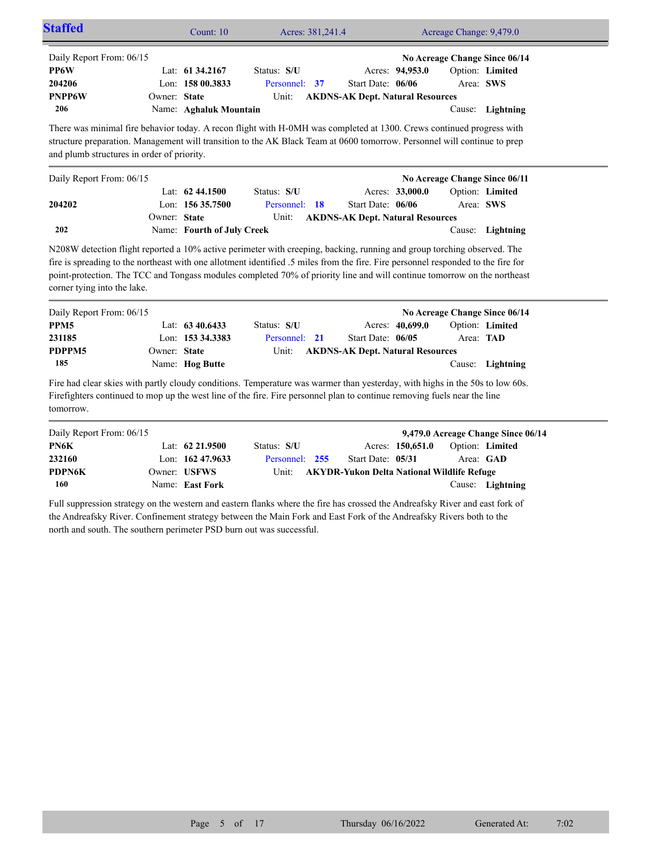|                                                                                                                                                                                                                                                                                                 |                  | Count: 10                                                                                                                         | Acres: 381,241.4 |                                         |                 | Acreage Change: 9,479.0 |                               |
|-------------------------------------------------------------------------------------------------------------------------------------------------------------------------------------------------------------------------------------------------------------------------------------------------|------------------|-----------------------------------------------------------------------------------------------------------------------------------|------------------|-----------------------------------------|-----------------|-------------------------|-------------------------------|
| Daily Report From: 06/15                                                                                                                                                                                                                                                                        |                  |                                                                                                                                   |                  |                                         |                 |                         | No Acreage Change Since 06/14 |
| PP6W                                                                                                                                                                                                                                                                                            | Lat: 61 34.2167  | Status: S/U                                                                                                                       |                  |                                         | Acres: 94,953.0 |                         | Option: Limited               |
| 204206                                                                                                                                                                                                                                                                                          | Lon: 158 00.3833 |                                                                                                                                   | Personnel:<br>37 | Start Date: 06/06                       |                 |                         | Area: SWS                     |
| PNPP6W                                                                                                                                                                                                                                                                                          | Owner: State     |                                                                                                                                   | Unit:            | <b>AKDNS-AK Dept. Natural Resources</b> |                 |                         |                               |
| 206                                                                                                                                                                                                                                                                                             |                  | Name: Aghaluk Mountain                                                                                                            |                  |                                         |                 |                         | Cause: Lightning              |
| There was minimal fire behavior today. A recon flight with H-0MH was completed at 1300. Crews continued progress with<br>structure preparation. Management will transition to the AK Black Team at 0600 tomorrow. Personnel will continue to prep<br>and plumb structures in order of priority. |                  |                                                                                                                                   |                  |                                         |                 |                         |                               |
| Daily Report From: 06/15                                                                                                                                                                                                                                                                        |                  |                                                                                                                                   |                  |                                         |                 |                         | No Acreage Change Since 06/11 |
|                                                                                                                                                                                                                                                                                                 | Lat: 62 44.1500  | Status: S/U                                                                                                                       |                  |                                         | Acres: 33,000.0 |                         | Option: Limited               |
| 204202                                                                                                                                                                                                                                                                                          | Lon: 156 35.7500 |                                                                                                                                   | Personnel: 18    | Start Date: 06/06                       |                 |                         | Area: SWS                     |
|                                                                                                                                                                                                                                                                                                 | Owner: State     |                                                                                                                                   | Unit:            | <b>AKDNS-AK Dept. Natural Resources</b> |                 |                         |                               |
| 202                                                                                                                                                                                                                                                                                             |                  | Name: Fourth of July Creek                                                                                                        |                  |                                         |                 |                         | Cause: Lightning              |
| N208W detection flight reported a 10% active perimeter with creeping, backing, running and group torching observed. The                                                                                                                                                                         |                  | fire is spreading to the northeast with one allotment identified .5 miles from the fire. Fire personnel responded to the fire for |                  |                                         |                 |                         |                               |
| point-protection. The TCC and Tongass modules completed 70% of priority line and will continue tomorrow on the northeast<br>corner tying into the lake.                                                                                                                                         |                  |                                                                                                                                   |                  |                                         |                 |                         |                               |
| Daily Report From: 06/15                                                                                                                                                                                                                                                                        |                  |                                                                                                                                   |                  |                                         |                 |                         | No Acreage Change Since 06/14 |
| PPM <sub>5</sub>                                                                                                                                                                                                                                                                                | Lat: 63 40.6433  | Status: S/U                                                                                                                       |                  |                                         | Acres: 40,699.0 |                         | Option: Limited               |
| 231185                                                                                                                                                                                                                                                                                          | Lon: 153 34.3383 |                                                                                                                                   | Personnel: 21    | Start Date: 06/05                       |                 | Area: TAD               |                               |
| PDPPM5                                                                                                                                                                                                                                                                                          | Owner: State     |                                                                                                                                   | Unit:            | <b>AKDNS-AK Dept. Natural Resources</b> |                 |                         |                               |
| 185                                                                                                                                                                                                                                                                                             | Name: Hog Butte  |                                                                                                                                   |                  |                                         |                 |                         | Cause: Lightning              |

| Daily Report From: 06/15 |                     |                                                  |                   |                  |                        | 9,479.0 Acreage Change Since 06/14 |
|--------------------------|---------------------|--------------------------------------------------|-------------------|------------------|------------------------|------------------------------------|
| PN6K                     | Lat: $62\,21.9500$  | Status: S/U                                      |                   | Acres: 150,651.0 | <b>Option: Limited</b> |                                    |
| 232160                   | Lon: $162\,47.9633$ | Personnel: 255                                   | Start Date: 05/31 |                  | Area: GAD              |                                    |
| <b>PDPN6K</b>            | Owner: USFWS        | Unit: AKYDR-Yukon Delta National Wildlife Refuge |                   |                  |                        |                                    |
| 160                      | Name: East Fork     |                                                  |                   |                  |                        | Cause: Lightning                   |

Full suppression strategy on the western and eastern flanks where the fire has crossed the Andreafsky River and east fork of the Andreafsky River. Confinement strategy between the Main Fork and East Fork of the Andreafsky Rivers both to the north and south. The southern perimeter PSD burn out was successful.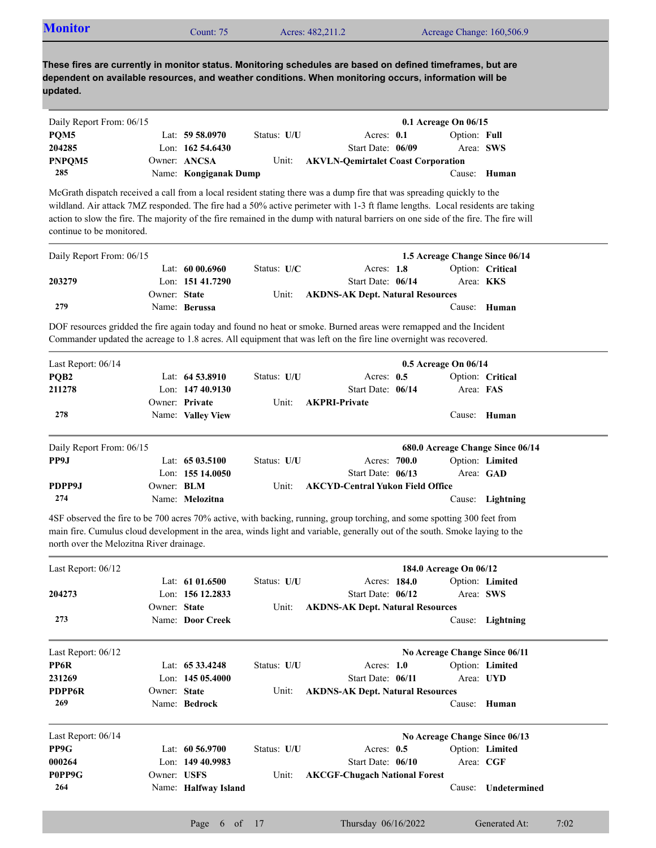| <b>Monitor</b><br>Acreage Change: 160,506.9<br>Acres: 482,211.2<br>Count: $75°$ |  |
|---------------------------------------------------------------------------------|--|
|---------------------------------------------------------------------------------|--|

| Daily Report From: 06/15 |                       |             |                                           | $0.1$ Acreage On $06/15$ |  |
|--------------------------|-----------------------|-------------|-------------------------------------------|--------------------------|--|
| POM <sub>5</sub>         | Lat: 59 58.0970       | Status: U/U | Acres: $0.1$                              | Option: Full             |  |
| 204285                   | Lon: $16254.6430$     |             | Start Date: 06/09                         | Area: SWS                |  |
| PNPOM5                   | Owner: ANCSA          | Unit:       | <b>AKVLN-Oemirtalet Coast Corporation</b> |                          |  |
| 285                      | Name: Kongiganak Dump |             |                                           | Cause: Human             |  |

McGrath dispatch received a call from a local resident stating there was a dump fire that was spreading quickly to the wildland. Air attack 7MZ responded. The fire had a 50% active perimeter with 1-3 ft flame lengths. Local residents are taking action to slow the fire. The majority of the fire remained in the dump with natural barriers on one side of the fire. The fire will continue to be monitored.

| Daily Report From: 06/15 |              |                   |               |                                         | 1.5 Acreage Change Since 06/14 |                  |
|--------------------------|--------------|-------------------|---------------|-----------------------------------------|--------------------------------|------------------|
|                          |              | Lat: $6000.6960$  | Status: $U/C$ | Acres: $1.8$                            |                                | Option: Critical |
| 203279                   |              | Lon: $15141.7290$ |               | Start Date: 06/14                       | Area: <b>KKS</b>               |                  |
|                          | Owner: State |                   | Unit:         | <b>AKDNS-AK Dept. Natural Resources</b> |                                |                  |
| 279                      |              | Name: Berussa     |               |                                         |                                | Cause: Human     |

DOF resources gridded the fire again today and found no heat or smoke. Burned areas were remapped and the Incident Commander updated the acreage to 1.8 acres. All equipment that was left on the fire line overnight was recovered.

| Last Report: $06/14$     |                   |                    | $0.5$ Acreage On $06/14$ |                                         |  |           |                                  |  |
|--------------------------|-------------------|--------------------|--------------------------|-----------------------------------------|--|-----------|----------------------------------|--|
| PQB <sub>2</sub>         |                   | Lat: $64\,53.8910$ | Status: U/U              | Acres: $0.5$                            |  |           | Option: Critical                 |  |
| 211278                   |                   | Lon: $14740.9130$  |                          | Start Date: 06/14                       |  | Area: FAS |                                  |  |
|                          |                   | Owner: Private     | Unit:                    | <b>AKPRI-Private</b>                    |  |           |                                  |  |
| 278                      |                   | Name: Valley View  |                          |                                         |  | Cause:    | Human                            |  |
| Daily Report From: 06/15 |                   |                    |                          |                                         |  |           | 680.0 Acreage Change Since 06/14 |  |
| PP9J                     |                   | Lat: $6503.5100$   | Status: U/U              | Acres: 700.0                            |  |           | Option: Limited                  |  |
|                          |                   | Lon: $15514.0050$  |                          | Start Date: 06/13                       |  |           | Area: GAD                        |  |
| PDPP9J                   | Owner: <b>BLM</b> |                    | Unit:                    | <b>AKCYD-Central Yukon Field Office</b> |  |           |                                  |  |
| 274                      |                   | Name: Melozitna    |                          |                                         |  | Cause:    | Lightning                        |  |

4SF observed the fire to be 700 acres 70% active, with backing, running, group torching, and some spotting 300 feet from main fire. Cumulus cloud development in the area, winds light and variable, generally out of the south. Smoke laying to the north over the Melozitna River drainage.

| Last Report: $06/12$ |              |                      | 184.0 Acreage On 06/12 |                                         |                               |                 |  |
|----------------------|--------------|----------------------|------------------------|-----------------------------------------|-------------------------------|-----------------|--|
|                      |              | Lat: $61\,01.6500$   | Status: U/U            | Acres: 184.0                            |                               | Option: Limited |  |
| 204273               |              | Lon: 156 12.2833     |                        | Start Date: 06/12                       | Area: SWS                     |                 |  |
|                      | Owner: State |                      | Unit:                  | <b>AKDNS-AK Dept. Natural Resources</b> |                               |                 |  |
| 273                  |              | Name: Door Creek     |                        |                                         | Cause:                        | Lightning       |  |
| Last Report: $06/12$ |              |                      |                        |                                         | No Acreage Change Since 06/11 |                 |  |
| PP6R                 |              | Lat: $6533.4248$     | Status: U/U            | Acres: $1.0$                            |                               | Option: Limited |  |
| 231269               |              | Lon: $14505.4000$    |                        | Start Date: 06/11                       | Area: UYD                     |                 |  |
| <b>PDPP6R</b>        | Owner: State |                      | Unit:                  | <b>AKDNS-AK Dept. Natural Resources</b> |                               |                 |  |
| 269                  |              | Name: Bedrock        |                        |                                         | Cause:                        | Human           |  |
| Last Report: 06/14   |              |                      |                        |                                         | No Acreage Change Since 06/13 |                 |  |
| PP9G                 |              | Lat: $60\,56.9700$   | Status: U/U            | Acres: $0.5$                            |                               | Option: Limited |  |
| 000264               |              | Lon: $14940.9983$    |                        | Start Date: 06/10                       | Area: CGF                     |                 |  |
| P0PP9G               | Owner: USFS  |                      | Unit:                  | <b>AKCGF-Chugach National Forest</b>    |                               |                 |  |
| 264                  |              | Name: Halfway Island |                        |                                         | Cause:                        | Undetermined    |  |
|                      |              |                      |                        |                                         |                               |                 |  |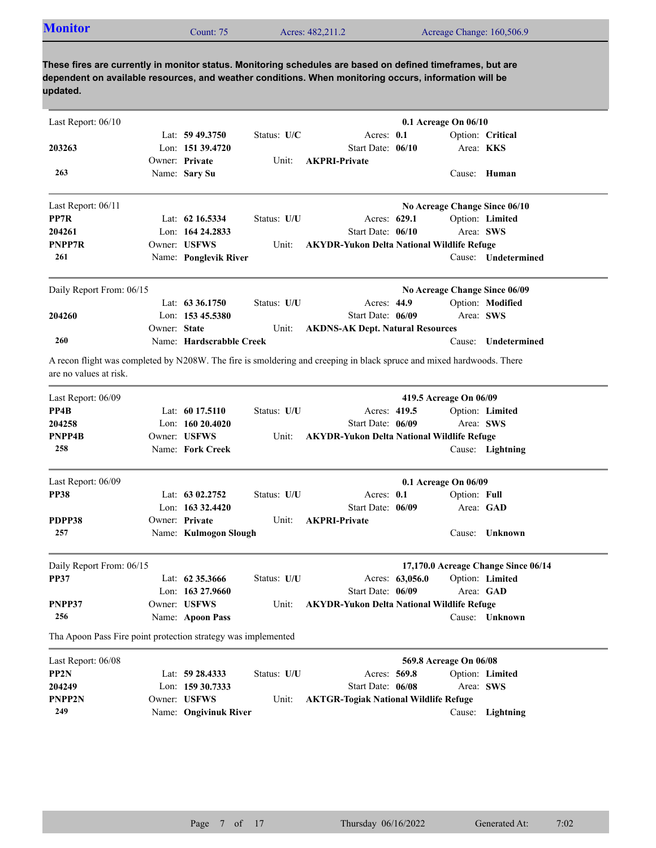| <b>Monitor</b><br>Acreage Change: 160,506.9<br>Acres: 482,211.2<br>Count: 75 |  |
|------------------------------------------------------------------------------|--|
|------------------------------------------------------------------------------|--|

| Last Report: 06/10                                            |              |                          |             |                                                                                                                       |                 | 0.1 Acreage On 06/10   |                                     |
|---------------------------------------------------------------|--------------|--------------------------|-------------|-----------------------------------------------------------------------------------------------------------------------|-----------------|------------------------|-------------------------------------|
|                                                               |              | Lat: $59\,49.3750$       | Status: U/C | Acres: 0.1                                                                                                            |                 |                        | Option: Critical                    |
| 203263                                                        |              | Lon: 151 39.4720         |             | Start Date: 06/10                                                                                                     |                 | Area: <b>KKS</b>       |                                     |
|                                                               |              | Owner: Private           | Unit:       | <b>AKPRI-Private</b>                                                                                                  |                 |                        |                                     |
| 263                                                           |              | Name: Sary Su            |             |                                                                                                                       |                 |                        | Cause: Human                        |
| Last Report: 06/11                                            |              |                          |             |                                                                                                                       |                 |                        | No Acreage Change Since 06/10       |
| PP7R                                                          |              | Lat: $62\,16.5334$       | Status: U/U | Acres: 629.1                                                                                                          |                 |                        | Option: Limited                     |
| 204261                                                        |              | Lon: 164 24.2833         |             | Start Date: 06/10                                                                                                     |                 | Area: SWS              |                                     |
| <b>PNPP7R</b>                                                 |              | Owner: USFWS             | Unit:       | <b>AKYDR-Yukon Delta National Wildlife Refuge</b>                                                                     |                 |                        |                                     |
| 261                                                           |              | Name: Ponglevik River    |             |                                                                                                                       |                 |                        | Cause: Undetermined                 |
| Daily Report From: 06/15                                      |              |                          |             |                                                                                                                       |                 |                        | No Acreage Change Since 06/09       |
|                                                               |              | Lat: $63\,36.1750$       | Status: U/U | Acres: 44.9                                                                                                           |                 |                        | Option: Modified                    |
| 204260                                                        |              | Lon: 153 45.5380         |             | Start Date: 06/09                                                                                                     |                 | Area: SWS              |                                     |
|                                                               | Owner: State |                          | Unit:       | <b>AKDNS-AK Dept. Natural Resources</b>                                                                               |                 |                        |                                     |
| 260                                                           |              | Name: Hardscrabble Creek |             |                                                                                                                       |                 | Cause:                 | Undetermined                        |
| are no values at risk.                                        |              |                          |             | A recon flight was completed by N208W. The fire is smoldering and creeping in black spruce and mixed hardwoods. There |                 |                        |                                     |
| Last Report: 06/09                                            |              |                          |             |                                                                                                                       |                 | 419.5 Acreage On 06/09 |                                     |
| PP4B                                                          |              | Lat: $6017.5110$         | Status: U/U | Acres: 419.5                                                                                                          |                 |                        | Option: Limited                     |
| 204258                                                        |              | Lon: 160 20.4020         |             | Start Date: 06/09                                                                                                     |                 | Area: SWS              |                                     |
| PNPP4B                                                        |              | Owner: USFWS             | Unit:       | <b>AKYDR-Yukon Delta National Wildlife Refuge</b>                                                                     |                 |                        |                                     |
| 258                                                           |              | Name: Fork Creek         |             |                                                                                                                       |                 |                        | Cause: Lightning                    |
| Last Report: 06/09                                            |              |                          |             |                                                                                                                       |                 | 0.1 Acreage On 06/09   |                                     |
| <b>PP38</b>                                                   |              | Lat: $6302.2752$         | Status: U/U | Acres: 0.1                                                                                                            |                 | Option: Full           |                                     |
|                                                               |              | Lon: $163332.4420$       |             | Start Date: 06/09                                                                                                     |                 |                        | Area: GAD                           |
| PDPP38                                                        |              | Owner: Private           | Unit:       | <b>AKPRI-Private</b>                                                                                                  |                 |                        |                                     |
| 257                                                           |              | Name: Kulmogon Slough    |             |                                                                                                                       |                 |                        | Cause: Unknown                      |
| Daily Report From: 06/15                                      |              |                          |             |                                                                                                                       |                 |                        | 17,170.0 Acreage Change Since 06/14 |
| <b>PP37</b>                                                   |              | Lat: 62 35.3666          | Status: U/U |                                                                                                                       | Acres: 63,056.0 |                        | Option: Limited                     |
|                                                               |              | Lon: 163 27.9660         |             | Start Date: 06/09                                                                                                     |                 | Area: GAD              |                                     |
| PNPP37                                                        |              | Owner: USFWS             | Unit:       | <b>AKYDR-Yukon Delta National Wildlife Refuge</b>                                                                     |                 |                        |                                     |
| 256                                                           |              | Name: Apoon Pass         |             |                                                                                                                       |                 |                        | Cause: Unknown                      |
| Tha Apoon Pass Fire point protection strategy was implemented |              |                          |             |                                                                                                                       |                 |                        |                                     |
| Last Report: 06/08                                            |              |                          |             |                                                                                                                       |                 | 569.8 Acreage On 06/08 |                                     |
| PP2N                                                          |              | Lat: 59 28.4333          | Status: U/U | Acres: 569.8                                                                                                          |                 |                        | Option: Limited                     |
| 204249                                                        |              | Lon: 159 30.7333         |             | Start Date: 06/08                                                                                                     |                 | Area: SWS              |                                     |
| PNPP2N                                                        |              | Owner: USFWS             | Unit:       | <b>AKTGR-Togiak National Wildlife Refuge</b>                                                                          |                 |                        |                                     |

Name: **Ongivinuk River** Cause: **Lightning**

**249**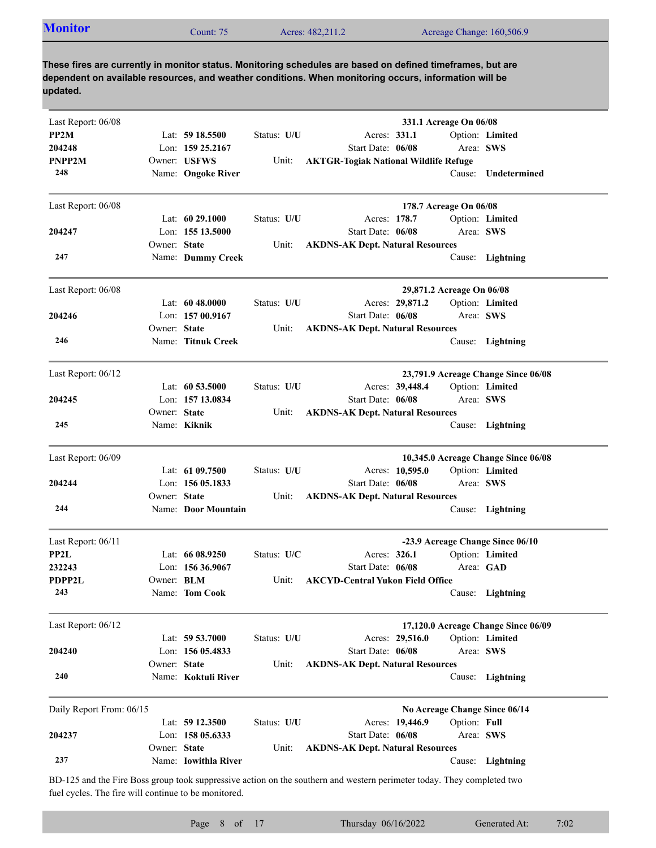| <b>Monitor</b><br>Acreage Change: 160,506.9<br>Acres: 482,211.2<br>$2$ ount: 75 |  |  |  |  |  |
|---------------------------------------------------------------------------------|--|--|--|--|--|
|---------------------------------------------------------------------------------|--|--|--|--|--|

| Last Report: 06/08       |                   |                      |             | 331.1 Acreage On 06/08                                                                                                 |                                     |
|--------------------------|-------------------|----------------------|-------------|------------------------------------------------------------------------------------------------------------------------|-------------------------------------|
| PP2M                     |                   | Lat: $5918.5500$     | Status: U/U | Acres: 331.1                                                                                                           | Option: Limited                     |
| 204248                   |                   | Lon: 159 25.2167     |             | Start Date: 06/08                                                                                                      | Area: SWS                           |
| PNPP2M                   |                   | Owner: USFWS         | Unit:       | <b>AKTGR-Togiak National Wildlife Refuge</b>                                                                           |                                     |
| 248                      |                   | Name: Ongoke River   |             | Cause:                                                                                                                 | Undetermined                        |
| Last Report: 06/08       |                   |                      |             | 178.7 Acreage On 06/08                                                                                                 |                                     |
|                          |                   | Lat: $6029.1000$     | Status: U/U | Acres: 178.7                                                                                                           | Option: Limited                     |
| 204247                   |                   | Lon: 155 13.5000     |             | Start Date: 06/08                                                                                                      | Area: SWS                           |
|                          | Owner: State      |                      | Unit:       | <b>AKDNS-AK Dept. Natural Resources</b>                                                                                |                                     |
| 247                      |                   | Name: Dummy Creek    |             |                                                                                                                        | Cause: Lightning                    |
| Last Report: 06/08       |                   |                      |             | 29,871.2 Acreage On 06/08                                                                                              |                                     |
|                          |                   | Lat: $6048.0000$     | Status: U/U | Acres: 29,871.2                                                                                                        | Option: Limited                     |
| 204246                   |                   | Lon: 157 00.9167     |             | Start Date: 06/08                                                                                                      | Area: SWS                           |
|                          | Owner: State      |                      | Unit:       | <b>AKDNS-AK Dept. Natural Resources</b>                                                                                |                                     |
| 246                      |                   | Name: Titnuk Creek   |             |                                                                                                                        | Cause: Lightning                    |
| Last Report: 06/12       |                   |                      |             |                                                                                                                        | 23,791.9 Acreage Change Since 06/08 |
|                          |                   | Lat: $60\,53.5000$   | Status: U/U | Acres: 39,448.4                                                                                                        | Option: Limited                     |
| 204245                   |                   | Lon: 157 13.0834     |             | Start Date: 06/08                                                                                                      | Area: SWS                           |
|                          | Owner: State      |                      | Unit:       | <b>AKDNS-AK Dept. Natural Resources</b>                                                                                |                                     |
| 245                      |                   | Name: Kiknik         |             |                                                                                                                        | Cause: Lightning                    |
| Last Report: 06/09       |                   |                      |             |                                                                                                                        | 10,345.0 Acreage Change Since 06/08 |
|                          |                   | Lat: 61 09.7500      | Status: U/U | Acres: 10,595.0                                                                                                        | Option: Limited                     |
| 204244                   |                   | Lon: 156 05.1833     |             | Start Date: 06/08                                                                                                      | Area: SWS                           |
|                          | Owner: State      |                      | Unit:       | <b>AKDNS-AK Dept. Natural Resources</b>                                                                                |                                     |
| 244                      |                   | Name: Door Mountain  |             |                                                                                                                        | Cause: Lightning                    |
| Last Report: 06/11       |                   |                      |             | -23.9 Acreage Change Since 06/10                                                                                       |                                     |
| PP2L                     |                   | Lat: $6608.9250$     | Status: U/C | Acres: 326.1                                                                                                           | Option: Limited                     |
| 232243                   |                   | Lon: $15636.9067$    |             | Start Date: 06/08                                                                                                      | Area: GAD                           |
| PDPP2L                   | Owner: <b>BLM</b> |                      | Unit:       | <b>AKCYD-Central Yukon Field Office</b>                                                                                |                                     |
| 243                      |                   | Name: Tom Cook       |             |                                                                                                                        | Cause: Lightning                    |
| Last Report: 06/12       |                   |                      |             |                                                                                                                        | 17,120.0 Acreage Change Since 06/09 |
|                          |                   | Lat: 59 53.7000      | Status: U/U | Acres: 29,516.0                                                                                                        | Option: Limited                     |
| 204240                   |                   | Lon: $15605.4833$    |             | Start Date: 06/08                                                                                                      | Area: SWS                           |
|                          | Owner: State      |                      | Unit:       | <b>AKDNS-AK Dept. Natural Resources</b>                                                                                |                                     |
| 240                      |                   | Name: Koktuli River  |             | Cause:                                                                                                                 | Lightning                           |
| Daily Report From: 06/15 |                   |                      |             | No Acreage Change Since 06/14                                                                                          |                                     |
|                          |                   | Lat: 59 12.3500      | Status: U/U | Option: Full<br>Acres: 19,446.9                                                                                        |                                     |
| 204237                   |                   | Lon: 158 05.6333     |             | Start Date: 06/08                                                                                                      | Area: SWS                           |
|                          | Owner: State      |                      | Unit:       | <b>AKDNS-AK Dept. Natural Resources</b>                                                                                |                                     |
| 237                      |                   | Name: Iowithla River |             |                                                                                                                        | Cause: Lightning                    |
|                          |                   |                      |             | BD-125 and the Fire Boss group took suppressive action on the southern and western perimeter today. They completed two |                                     |

fuel cycles. The fire will continue to be monitored.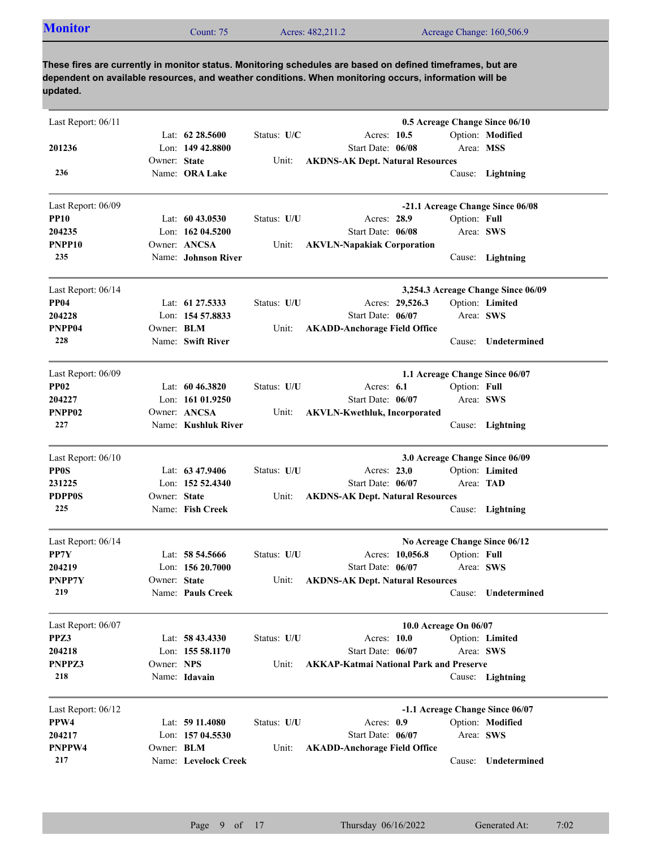| <b>Monitor</b><br>Acres: 482,211.2<br>Acreage Change: 160,506.9<br>$\mathcal{L}$ ount: 75 |  |
|-------------------------------------------------------------------------------------------|--|
|-------------------------------------------------------------------------------------------|--|

| Last Report: 06/11 |              |                      |             |                                                |                       | 0.5 Acreage Change Since 06/10     |
|--------------------|--------------|----------------------|-------------|------------------------------------------------|-----------------------|------------------------------------|
|                    |              | Lat: $62\,28.5600$   | Status: U/C | Acres: 10.5                                    |                       | Option: Modified                   |
| 201236             |              | Lon: 149 42.8800     |             | Start Date: 06/08                              | Area: MSS             |                                    |
|                    | Owner: State |                      | Unit:       | <b>AKDNS-AK Dept. Natural Resources</b>        |                       |                                    |
| 236                |              | Name: ORA Lake       |             |                                                |                       | Cause: Lightning                   |
| Last Report: 06/09 |              |                      |             |                                                |                       | -21.1 Acreage Change Since 06/08   |
| <b>PP10</b>        |              | Lat: $6043.0530$     | Status: U/U | Acres: 28.9                                    | Option: Full          |                                    |
| 204235             |              | Lon: 162 04.5200     |             | Start Date: 06/08                              | Area: SWS             |                                    |
| PNPP10             |              | Owner: ANCSA         | Unit:       | <b>AKVLN-Napakiak Corporation</b>              |                       |                                    |
| 235                |              | Name: Johnson River  |             |                                                |                       | Cause: Lightning                   |
| Last Report: 06/14 |              |                      |             |                                                |                       | 3,254.3 Acreage Change Since 06/09 |
| <b>PP04</b>        |              | Lat: 61 27.5333      | Status: U/U | Acres: 29,526.3                                |                       | Option: Limited                    |
| 204228             |              | Lon: 154 57.8833     |             | Start Date: 06/07                              | Area: SWS             |                                    |
| PNPP04             | Owner: BLM   |                      | Unit:       | <b>AKADD-Anchorage Field Office</b>            |                       |                                    |
| 228                |              | Name: Swift River    |             |                                                |                       | Cause: Undetermined                |
| Last Report: 06/09 |              |                      |             |                                                |                       | 1.1 Acreage Change Since 06/07     |
| <b>PP02</b>        |              | Lat: $6046.3820$     | Status: U/U | Acres: $6.1$                                   | Option: Full          |                                    |
| 204227             |              | Lon: $16101.9250$    |             | Start Date: 06/07                              | Area: SWS             |                                    |
| PNPP02             |              | Owner: ANCSA         | Unit:       | <b>AKVLN-Kwethluk, Incorporated</b>            |                       |                                    |
| 227                |              | Name: Kushluk River  |             |                                                |                       | Cause: Lightning                   |
| Last Report: 06/10 |              |                      |             |                                                |                       | 3.0 Acreage Change Since 06/09     |
| <b>PP0S</b>        |              | Lat: 63 47.9406      | Status: U/U | Acres: 23.0                                    |                       | Option: Limited                    |
| 231225             |              | Lon: 152 52.4340     |             | Start Date: 06/07                              | Area: TAD             |                                    |
| <b>PDPP0S</b>      | Owner: State |                      | Unit:       | <b>AKDNS-AK Dept. Natural Resources</b>        |                       |                                    |
| 225                |              | Name: Fish Creek     |             |                                                |                       | Cause: Lightning                   |
| Last Report: 06/14 |              |                      |             |                                                |                       | No Acreage Change Since 06/12      |
| PP7Y               |              | Lat: $58\,54.5666$   | Status: U/U | Acres: 10,056.8                                | Option: Full          |                                    |
| 204219             |              | Lon: $15620.7000$    |             | Start Date: 06/07                              | Area: SWS             |                                    |
| PNPP7Y             | Owner: State |                      | Unit:       | <b>AKDNS-AK Dept. Natural Resources</b>        |                       |                                    |
| 219                |              | Name: Pauls Creek    |             |                                                |                       | Cause: Undetermined                |
| Last Report: 06/07 |              |                      |             |                                                | 10.0 Acreage On 06/07 |                                    |
| PPZ3               |              | Lat: 58 43.4330      | Status: U/U | Acres: 10.0                                    |                       | Option: Limited                    |
| 204218             |              | Lon: 155 58.1170     |             | Start Date: 06/07                              | Area: SWS             |                                    |
| PNPPZ3             | Owner: NPS   |                      | Unit:       | <b>AKKAP-Katmai National Park and Preserve</b> |                       |                                    |
| 218                |              | Name: Idavain        |             |                                                |                       | Cause: Lightning                   |
| Last Report: 06/12 |              |                      |             |                                                |                       | -1.1 Acreage Change Since 06/07    |
| PPW4               |              | Lat: 59 11.4080      | Status: U/U | Acres: 0.9                                     |                       | Option: Modified                   |
| 204217             |              | Lon: 157 04.5530     |             | Start Date: 06/07                              | Area: SWS             |                                    |
| PNPPW4             | Owner: BLM   |                      | Unit:       | <b>AKADD-Anchorage Field Office</b>            |                       |                                    |
| 217                |              | Name: Levelock Creek |             |                                                | Cause:                | Undetermined                       |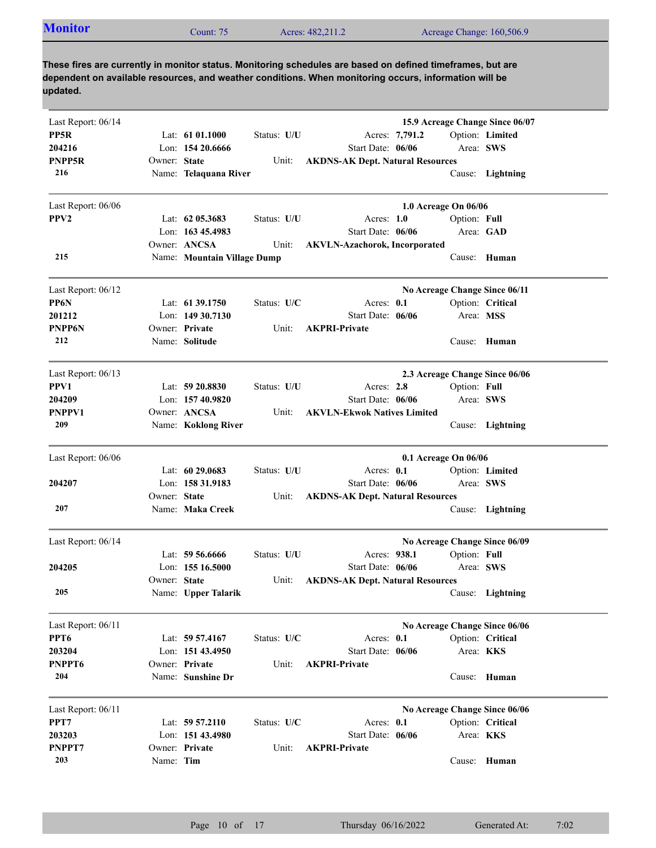|--|

| Last Report: 06/14 |              |                             |             | 15.9 Acreage Change Since 06/07         |
|--------------------|--------------|-----------------------------|-------------|-----------------------------------------|
| PP5R               |              | Lat: $6101.1000$            | Status: U/U | Option: Limited<br>Acres: 7,791.2       |
| 204216             |              | Lon: 154 20.6666            |             | Start Date: 06/06<br>Area: SWS          |
| PNPP5R             | Owner: State |                             | Unit:       | <b>AKDNS-AK Dept. Natural Resources</b> |
| 216                |              | Name: Telaquana River       |             | Cause: Lightning                        |
| Last Report: 06/06 |              |                             |             | 1.0 Acreage On 06/06                    |
| PPV <sub>2</sub>   |              | Lat: $62$ 05.3683           | Status: U/U | Acres: $1.0$<br>Option: Full            |
|                    |              | Lon: 163 45.4983            |             | Start Date: 06/06<br>Area: GAD          |
|                    |              | Owner: ANCSA                | Unit:       | <b>AKVLN-Azachorok, Incorporated</b>    |
| 215                |              | Name: Mountain Village Dump |             | Cause: Human                            |
| Last Report: 06/12 |              |                             |             | No Acreage Change Since 06/11           |
| PP6N               |              | Lat: $61\,39.1750$          | Status: U/C | Acres: 0.1<br>Option: Critical          |
| 201212             |              | Lon: $14930.7130$           |             | Start Date: 06/06<br>Area: MSS          |
| PNPP6N             |              | Owner: Private              | Unit:       | <b>AKPRI-Private</b>                    |
| 212                |              | Name: Solitude              |             | Cause: Human                            |
| Last Report: 06/13 |              |                             |             | 2.3 Acreage Change Since 06/06          |
| PPV1               |              | Lat: $59\,20.8830$          | Status: U/U | Option: Full<br>Acres: 2.8              |
| 204209             |              | Lon: 157 40.9820            |             | Area: SWS<br>Start Date: 06/06          |
| PNPPV1             |              | Owner: ANCSA                | Unit:       | <b>AKVLN-Ekwok Natives Limited</b>      |
| 209                |              | Name: Koklong River         |             | Cause: Lightning                        |
| Last Report: 06/06 |              |                             |             | 0.1 Acreage On 06/06                    |
|                    |              | Lat: 60 29.0683             | Status: U/U | Acres: 0.1<br>Option: Limited           |
| 204207             |              | Lon: 158 31.9183            |             | Start Date: 06/06<br>Area: SWS          |
|                    | Owner: State |                             | Unit:       | <b>AKDNS-AK Dept. Natural Resources</b> |
| 207                |              | Name: Maka Creek            |             | Cause: Lightning                        |
| Last Report: 06/14 |              |                             |             | No Acreage Change Since 06/09           |
|                    |              | Lat: $59\,56.6666$          | Status: U/U | Option: Full<br>Acres: 938.1            |
| 204205             |              | Lon: 155 16.5000            |             | Area: SWS<br>Start Date: 06/06          |
|                    | Owner: State |                             | Unit:       | <b>AKDNS-AK Dept. Natural Resources</b> |
| 205                |              | Name: Upper Talarik         |             | Cause: Lightning                        |
| Last Report: 06/11 |              |                             |             | No Acreage Change Since 06/06           |
| PPT <sub>6</sub>   |              | Lat: 59 57.4167             | Status: U/C | Acres: 0.1<br>Option: Critical          |
| 203204             |              | Lon: $15143.4950$           |             | Start Date: 06/06<br>Area: KKS          |
| PNPPT6             |              | Owner: Private              | Unit:       | <b>AKPRI-Private</b>                    |
| 204                |              | Name: Sunshine Dr           |             | Cause: Human                            |
| Last Report: 06/11 |              |                             |             | No Acreage Change Since 06/06           |
| PPT7               |              | Lat: 59 57.2110             | Status: U/C | Acres: 0.1<br>Option: Critical          |
| 203203             |              | Lon: 151 43.4980            |             | Start Date: 06/06<br>Area: <b>KKS</b>   |
| PNPPT7             |              | Owner: Private              | Unit:       | <b>AKPRI-Private</b>                    |
| 203                | Name: Tim    |                             |             | Cause: Human                            |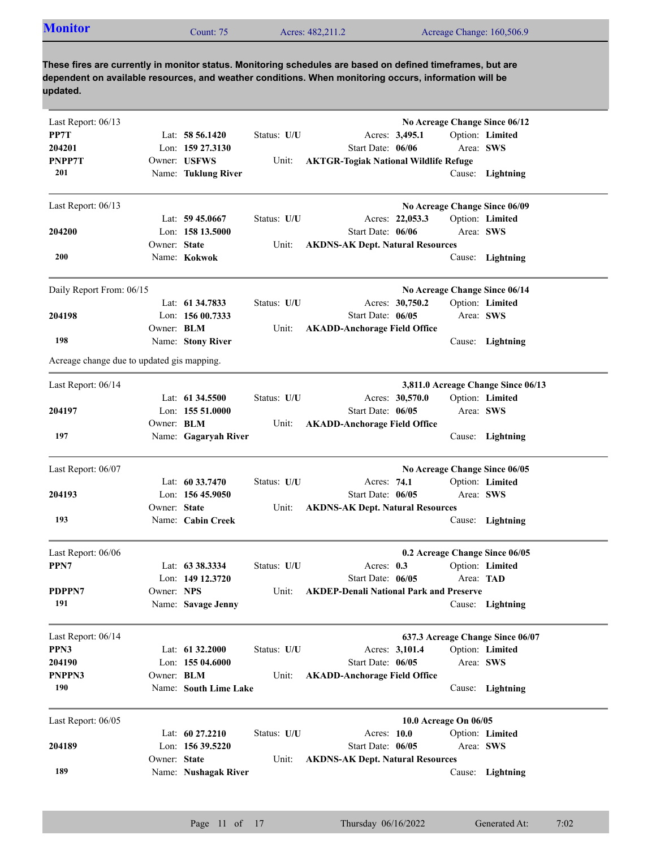|--|

| Last Report: 06/13                         |              |                       |             | No Acreage Change Since 06/12                 |                                    |
|--------------------------------------------|--------------|-----------------------|-------------|-----------------------------------------------|------------------------------------|
| PP7T                                       |              | Lat: $58\,56.1420$    | Status: U/U | Acres: 3,495.1                                | Option: Limited                    |
| 204201                                     |              | Lon: 159 27.3130      |             | Start Date: 06/06                             | Area: SWS                          |
| PNPP7T                                     |              | Owner: USFWS          | Unit:       | <b>AKTGR-Togiak National Wildlife Refuge</b>  |                                    |
| 201                                        |              | Name: Tuklung River   |             |                                               | Cause: Lightning                   |
| Last Report: 06/13                         |              |                       |             | No Acreage Change Since 06/09                 |                                    |
|                                            |              | Lat: $59\,45.0667$    | Status: U/U | Acres: 22,053.3                               | Option: Limited                    |
| 204200                                     |              | Lon: 158 13.5000      |             | Start Date: 06/06                             | Area: SWS                          |
|                                            | Owner: State |                       | Unit:       | <b>AKDNS-AK Dept. Natural Resources</b>       |                                    |
| <b>200</b>                                 |              | Name: Kokwok          |             |                                               | Cause: Lightning                   |
| Daily Report From: 06/15                   |              |                       |             | No Acreage Change Since 06/14                 |                                    |
|                                            |              | Lat: 61 34.7833       | Status: U/U | Acres: 30,750.2                               | Option: Limited                    |
| 204198                                     |              | Lon: 156 00.7333      |             | Start Date: 06/05                             | Area: SWS                          |
|                                            | Owner: BLM   |                       | Unit:       | <b>AKADD-Anchorage Field Office</b>           |                                    |
| 198                                        |              | Name: Stony River     |             |                                               | Cause: Lightning                   |
| Acreage change due to updated gis mapping. |              |                       |             |                                               |                                    |
| Last Report: 06/14                         |              |                       |             |                                               | 3,811.0 Acreage Change Since 06/13 |
|                                            |              | Lat: 61 34.5500       | Status: U/U | Acres: 30,570.0                               | Option: Limited                    |
| 204197                                     |              | Lon: 155 51.0000      |             | Start Date: 06/05                             | Area: SWS                          |
| 197                                        | Owner: BLM   |                       | Unit:       | <b>AKADD-Anchorage Field Office</b>           |                                    |
|                                            |              | Name: Gagaryah River  |             |                                               | Cause: Lightning                   |
| Last Report: 06/07                         |              |                       |             | No Acreage Change Since 06/05                 |                                    |
|                                            |              | Lat: $60\,33.7470$    | Status: U/U | Acres: 74.1                                   | Option: Limited                    |
| 204193                                     |              | Lon: $15645.9050$     |             | Start Date: 06/05                             | Area: SWS                          |
|                                            | Owner: State |                       | Unit:       | <b>AKDNS-AK Dept. Natural Resources</b>       |                                    |
| 193                                        |              | Name: Cabin Creek     |             |                                               | Cause: Lightning                   |
| Last Report: 06/06                         |              |                       |             | 0.2 Acreage Change Since 06/05                |                                    |
| PPN7                                       |              | Lat: 63 38.3334       | Status: U/U | Acres: 0.3                                    | Option: Limited                    |
|                                            |              | Lon: 149 12.3720      |             | Start Date: 06/05                             | Area: TAD                          |
| PDPPN7                                     | Owner: NPS   |                       |             | Unit: AKDEP-Denali National Park and Preserve |                                    |
| 191                                        |              | Name: Savage Jenny    |             |                                               | Cause: Lightning                   |
| Last Report: 06/14                         |              |                       |             | 637.3 Acreage Change Since 06/07              |                                    |
| PPN3                                       |              | Lat: 61 32.2000       | Status: U/U | Acres: 3,101.4                                | Option: Limited                    |
| 204190                                     |              | Lon: 155 04.6000      |             | Start Date: 06/05                             | Area: SWS                          |
| PNPPN3                                     | Owner: BLM   |                       | Unit:       | <b>AKADD-Anchorage Field Office</b>           |                                    |
| 190                                        |              | Name: South Lime Lake |             |                                               | Cause: Lightning                   |
| Last Report: 06/05                         |              |                       |             | 10.0 Acreage On 06/05                         |                                    |
|                                            |              | Lat: 60 27.2210       | Status: U/U | Acres: 10.0                                   | Option: Limited                    |
| 204189                                     |              | Lon: 156 39.5220      |             | Start Date: 06/05                             | Area: SWS                          |
|                                            | Owner: State |                       | Unit:       | <b>AKDNS-AK Dept. Natural Resources</b>       |                                    |
| 189                                        |              | Name: Nushagak River  |             |                                               | Cause: Lightning                   |
|                                            |              |                       |             |                                               |                                    |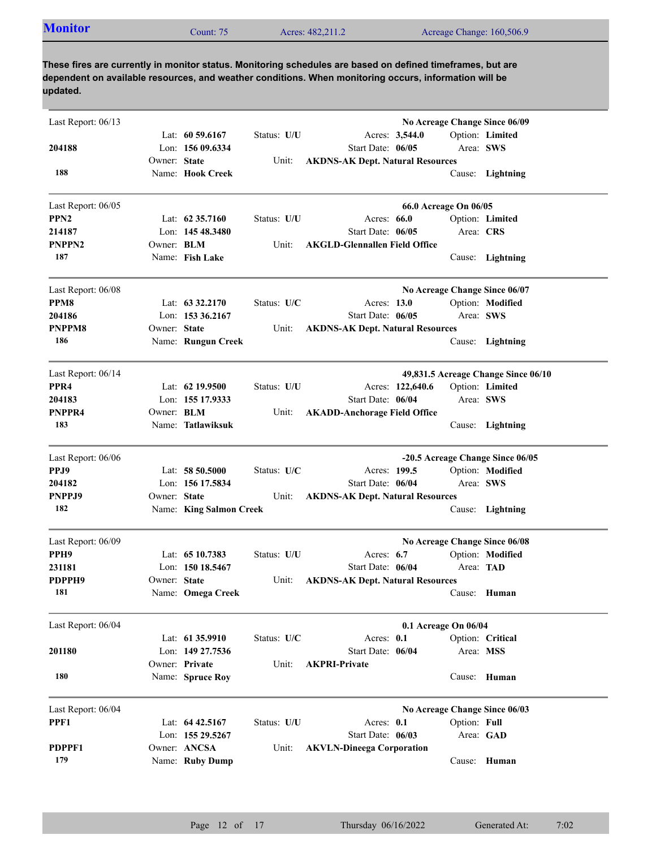| <b>Monitor</b><br>Acres: 482,211.2<br>Acreage Change: 160,506.9<br>$\mathcal$ Count: 75 |  |
|-----------------------------------------------------------------------------------------|--|
|-----------------------------------------------------------------------------------------|--|

| Last Report: 06/13 |                   |                         |             |                                         | No Acreage Change Since 06/09    |                                     |
|--------------------|-------------------|-------------------------|-------------|-----------------------------------------|----------------------------------|-------------------------------------|
|                    |                   | Lat: $60\,59.6167$      | Status: U/U | Acres: 3,544.0                          |                                  | Option: Limited                     |
| 204188             |                   | Lon: $15609.6334$       |             | Start Date: 06/05                       | Area: SWS                        |                                     |
| 188                | Owner: State      | Name: Hook Creek        | Unit:       | <b>AKDNS-AK Dept. Natural Resources</b> |                                  |                                     |
|                    |                   |                         |             |                                         |                                  | Cause: Lightning                    |
| Last Report: 06/05 |                   |                         |             |                                         | 66.0 Acreage On 06/05            |                                     |
| PPN <sub>2</sub>   |                   | Lat: $62,35,7160$       | Status: U/U | Acres: $66.0$                           |                                  | Option: Limited                     |
| 214187             |                   | Lon: 145 48.3480        |             | Start Date: 06/05                       | Area: CRS                        |                                     |
| <b>PNPPN2</b>      | Owner: <b>BLM</b> |                         | Unit:       | <b>AKGLD-Glennallen Field Office</b>    |                                  |                                     |
| 187                |                   | Name: Fish Lake         |             |                                         |                                  | Cause: Lightning                    |
| Last Report: 06/08 |                   |                         |             |                                         | No Acreage Change Since 06/07    |                                     |
| PPM8               |                   | Lat: $63\,32.2170$      | Status: U/C | Acres: 13.0                             |                                  | Option: Modified                    |
| 204186             |                   | Lon: 153 36.2167        |             | Start Date: 06/05                       | Area: SWS                        |                                     |
| PNPPM8             | Owner: State      |                         | Unit:       | <b>AKDNS-AK Dept. Natural Resources</b> |                                  |                                     |
| 186                |                   | Name: Rungun Creek      |             |                                         |                                  | Cause: Lightning                    |
| Last Report: 06/14 |                   |                         |             |                                         |                                  | 49,831.5 Acreage Change Since 06/10 |
| PPR <sub>4</sub>   |                   | Lat: $62$ 19.9500       | Status: U/U | Acres: 122,640.6                        |                                  | Option: Limited                     |
| 204183             |                   | Lon: 155 17.9333        |             | Start Date: 06/04                       | Area: SWS                        |                                     |
| PNPPR4             | Owner: <b>BLM</b> |                         | Unit:       | <b>AKADD-Anchorage Field Office</b>     |                                  |                                     |
| 183                |                   | Name: Tatlawiksuk       |             |                                         | Cause:                           | Lightning                           |
| Last Report: 06/06 |                   |                         |             |                                         | -20.5 Acreage Change Since 06/05 |                                     |
| PPJ9               |                   | Lat: $5850.5000$        | Status: U/C | Acres: 199.5                            |                                  | Option: Modified                    |
| 204182             |                   | Lon: 156 17.5834        |             | Start Date: 06/04                       | Area: SWS                        |                                     |
| PNPPJ9             | Owner: State      |                         | Unit:       | <b>AKDNS-AK Dept. Natural Resources</b> |                                  |                                     |
| 182                |                   | Name: King Salmon Creek |             |                                         |                                  | Cause: Lightning                    |
| Last Report: 06/09 |                   |                         |             |                                         | No Acreage Change Since 06/08    |                                     |
| PPH <sub>9</sub>   |                   | Lat: $6510.7383$        | Status: U/U | Acres: $6.7$                            |                                  | Option: Modified                    |
| 231181             |                   | Lon: 150 18.5467        |             | Start Date: 06/04                       | Area: <b>TAD</b>                 |                                     |
| PDPPH9             | Owner: State      |                         | Unit:       | <b>AKDNS-AK Dept. Natural Resources</b> |                                  |                                     |
| 181                |                   | Name: Omega Creek       |             |                                         |                                  | Cause: Human                        |
| Last Report: 06/04 |                   |                         |             |                                         | 0.1 Acreage On 06/04             |                                     |
|                    |                   | Lat: $6135.9910$        | Status: U/C | Acres: 0.1                              |                                  | Option: Critical                    |
| 201180             |                   | Lon: 149 27,7536        |             | Start Date: 06/04                       | Area: MSS                        |                                     |
|                    |                   | Owner: Private          | Unit:       | <b>AKPRI-Private</b>                    |                                  |                                     |
| 180                |                   | Name: Spruce Roy        |             |                                         |                                  | Cause: Human                        |
| Last Report: 06/04 |                   |                         |             |                                         | No Acreage Change Since 06/03    |                                     |
| PPF1               |                   | Lat: 64 42.5167         | Status: U/U | Acres: 0.1                              | Option: Full                     |                                     |
|                    |                   | Lon: 155 29.5267        |             | Start Date: 06/03                       | Area: GAD                        |                                     |
| PDPPF1             |                   | Owner: ANCSA            | Unit:       | <b>AKVLN-Dineega Corporation</b>        |                                  |                                     |
| 179                |                   | Name: Ruby Dump         |             |                                         |                                  | Cause: Human                        |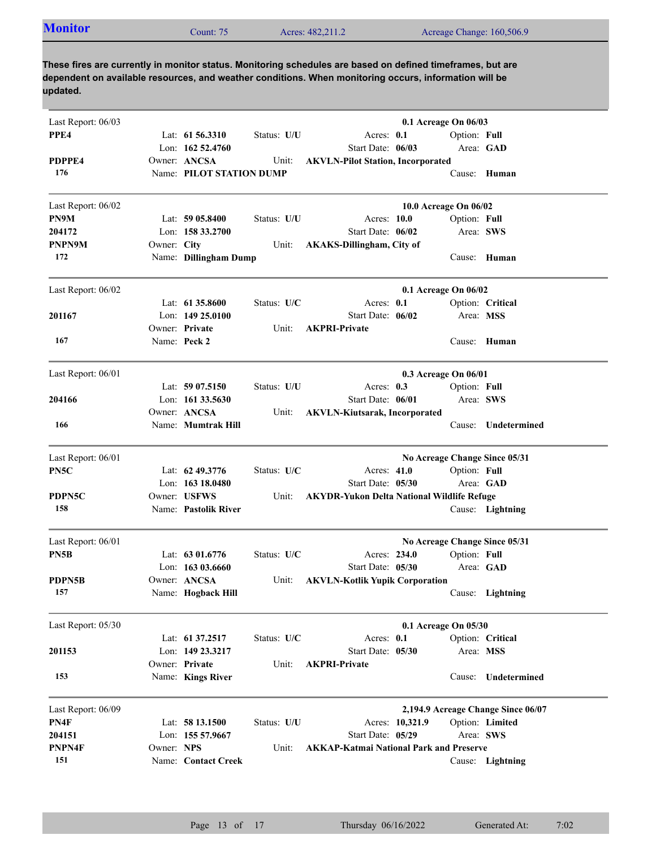| Last Report: 06/03 |             |                          |             |                                                   | 0.1 Acreage On 06/03          |              |                                    |
|--------------------|-------------|--------------------------|-------------|---------------------------------------------------|-------------------------------|--------------|------------------------------------|
| PPE4               |             | Lat: $61\,56.3310$       | Status: U/U | Acres: 0.1                                        |                               | Option: Full |                                    |
|                    |             | Lon: 162 52.4760         |             | Start Date: 06/03                                 |                               | Area: GAD    |                                    |
| PDPPE4             |             | Owner: ANCSA             | Unit:       | <b>AKVLN-Pilot Station, Incorporated</b>          |                               |              |                                    |
| 176                |             | Name: PILOT STATION DUMP |             |                                                   |                               |              | Cause: Human                       |
| Last Report: 06/02 |             |                          |             |                                                   | 10.0 Acreage On 06/02         |              |                                    |
| PN9M               |             | Lat: 59 05.8400          | Status: U/U | Acres: 10.0                                       |                               | Option: Full |                                    |
| 204172             |             | Lon: 158 33.2700         |             | Start Date: 06/02                                 |                               | Area: SWS    |                                    |
| PNPN9M             | Owner: City |                          | Unit:       | <b>AKAKS-Dillingham, City of</b>                  |                               |              |                                    |
| 172                |             | Name: Dillingham Dump    |             |                                                   |                               |              | Cause: Human                       |
| Last Report: 06/02 |             |                          |             |                                                   | 0.1 Acreage On 06/02          |              |                                    |
|                    |             | Lat: 61 35.8600          | Status: U/C | Acres: 0.1                                        |                               |              | Option: Critical                   |
| 201167             |             | Lon: $14925.0100$        |             | Start Date: 06/02                                 |                               | Area: MSS    |                                    |
|                    |             | Owner: Private           | Unit:       | <b>AKPRI-Private</b>                              |                               |              |                                    |
| 167                |             | Name: Peck 2             |             |                                                   |                               |              | Cause: Human                       |
| Last Report: 06/01 |             |                          |             |                                                   | 0.3 Acreage On 06/01          |              |                                    |
|                    |             | Lat: $5907.5150$         | Status: U/U | Acres: $0.3$                                      |                               | Option: Full |                                    |
| 204166             |             | Lon: $161\,33.5630$      |             | Start Date: 06/01                                 |                               | Area: SWS    |                                    |
|                    |             | Owner: ANCSA             | Unit:       | <b>AKVLN-Kiutsarak, Incorporated</b>              |                               |              |                                    |
| 166                |             | Name: Mumtrak Hill       |             |                                                   |                               | Cause:       | Undetermined                       |
| Last Report: 06/01 |             |                          |             |                                                   | No Acreage Change Since 05/31 |              |                                    |
| PN5C               |             | Lat: $62\,49.3776$       | Status: U/C | Acres: 41.0                                       |                               | Option: Full |                                    |
|                    |             | Lon: $16318.0480$        |             | Start Date: 05/30                                 |                               |              | Area: GAD                          |
| PDPN5C             |             | Owner: USFWS             | Unit:       | <b>AKYDR-Yukon Delta National Wildlife Refuge</b> |                               |              |                                    |
| 158                |             | Name: Pastolik River     |             |                                                   |                               |              | Cause: Lightning                   |
| Last Report: 06/01 |             |                          |             |                                                   | No Acreage Change Since 05/31 |              |                                    |
| PN5B               |             | Lat: $6301.6776$         | Status: U/C | Acres: 234.0                                      |                               | Option: Full |                                    |
|                    |             | Lon: $16303.6660$        |             | Start Date: 05/30                                 |                               |              | Area: GAD                          |
| PDPN5B             |             | Owner: ANCSA             | Unit:       | <b>AKVLN-Kotlik Yupik Corporation</b>             |                               |              |                                    |
| 157                |             | Name: Hogback Hill       |             |                                                   |                               |              | Cause: Lightning                   |
| Last Report: 05/30 |             |                          |             |                                                   | 0.1 Acreage On 05/30          |              |                                    |
|                    |             | Lat: 61 37.2517          | Status: U/C | Acres: 0.1                                        |                               |              | Option: Critical                   |
| 201153             |             | Lon: 149 23.3217         |             | Start Date: 05/30                                 |                               | Area: MSS    |                                    |
|                    |             | Owner: Private           | Unit:       | <b>AKPRI-Private</b>                              |                               |              |                                    |
| 153                |             | Name: Kings River        |             |                                                   |                               | Cause:       | Undetermined                       |
| Last Report: 06/09 |             |                          |             |                                                   |                               |              | 2,194.9 Acreage Change Since 06/07 |
| PN4F               |             | Lat: 58 13.1500          | Status: U/U | Acres: 10,321.9                                   |                               |              | Option: Limited                    |
| 204151             |             | Lon: 155 57.9667         |             | Start Date: 05/29                                 |                               | Area: SWS    |                                    |
| PNPN4F             | Owner: NPS  |                          | Unit:       | <b>AKKAP-Katmai National Park and Preserve</b>    |                               |              |                                    |
| 151                |             | Name: Contact Creek      |             |                                                   |                               |              | Cause: Lightning                   |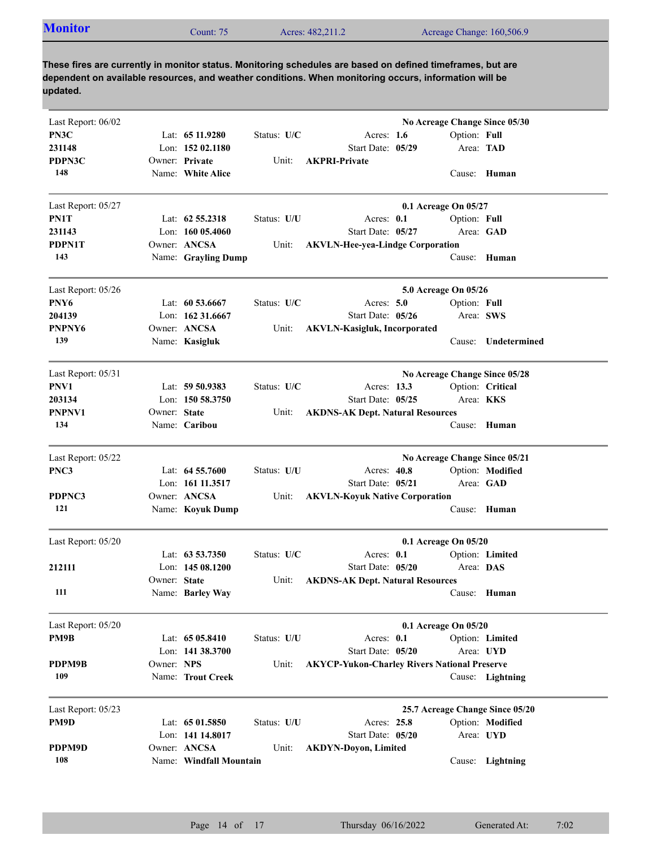|--|

| Last Report: 06/02 |              |                         |             |                                                     | No Acreage Change Since 05/30 |              |                                 |
|--------------------|--------------|-------------------------|-------------|-----------------------------------------------------|-------------------------------|--------------|---------------------------------|
| PN3C               |              | Lat: $6511.9280$        | Status: U/C | Acres: $1.6$                                        |                               | Option: Full |                                 |
| 231148             |              | Lon: 152 02.1180        |             | Start Date: 05/29                                   |                               | Area: TAD    |                                 |
| PDPN3C             |              | Owner: Private          | Unit:       | <b>AKPRI-Private</b>                                |                               |              |                                 |
| 148                |              | Name: White Alice       |             |                                                     |                               |              | Cause: Human                    |
| Last Report: 05/27 |              |                         |             |                                                     | 0.1 Acreage On 05/27          |              |                                 |
| PN1T               |              | Lat: $62\,55.2318$      | Status: U/U | Acres: $0.1$                                        |                               | Option: Full |                                 |
| 231143             |              | Lon: $16005.4060$       |             | Start Date: 05/27                                   |                               |              | Area: GAD                       |
| <b>PDPN1T</b>      |              | Owner: ANCSA            | Unit:       | <b>AKVLN-Hee-yea-Lindge Corporation</b>             |                               |              |                                 |
| 143                |              | Name: Grayling Dump     |             |                                                     |                               |              | Cause: Human                    |
| Last Report: 05/26 |              |                         |             |                                                     | 5.0 Acreage On 05/26          |              |                                 |
| PNY6               |              | Lat: $60\,53.6667$      | Status: U/C | Acres: $5.0$                                        |                               | Option: Full |                                 |
| 204139             |              | Lon: 162 31.6667        |             | Start Date: 05/26                                   |                               | Area: SWS    |                                 |
| PNPNY6             |              | Owner: ANCSA            | Unit:       | <b>AKVLN-Kasigluk, Incorporated</b>                 |                               |              |                                 |
| 139                |              | Name: Kasigluk          |             |                                                     |                               |              | Cause: Undetermined             |
| Last Report: 05/31 |              |                         |             |                                                     | No Acreage Change Since 05/28 |              |                                 |
| PNV1               |              | Lat: 59 50.9383         | Status: U/C | Acres: 13.3                                         |                               |              | Option: Critical                |
| 203134             |              | Lon: 150 58.3750        |             | Start Date: 05/25                                   |                               | Area: KKS    |                                 |
| PNPNV1             | Owner: State |                         | Unit:       | <b>AKDNS-AK Dept. Natural Resources</b>             |                               |              |                                 |
| 134                |              | Name: Caribou           |             |                                                     |                               | Cause:       | Human                           |
| Last Report: 05/22 |              |                         |             |                                                     | No Acreage Change Since 05/21 |              |                                 |
| PNC3               |              | Lat: 64 55.7600         | Status: U/U | Acres: 40.8                                         |                               |              | Option: Modified                |
|                    |              | Lon: 161 11.3517        |             | Start Date: 05/21                                   |                               | Area: GAD    |                                 |
| PDPNC3             |              | Owner: ANCSA            | Unit:       | <b>AKVLN-Koyuk Native Corporation</b>               |                               |              |                                 |
| 121                |              | Name: Koyuk Dump        |             |                                                     |                               |              | Cause: Human                    |
| Last Report: 05/20 |              |                         |             |                                                     | 0.1 Acreage On 05/20          |              |                                 |
|                    |              | Lat: $63\,53.7350$      | Status: U/C | Acres: $0.1$                                        |                               |              | Option: Limited                 |
| 212111             |              | Lon: $14508.1200$       |             | Start Date: 05/20                                   |                               | Area: DAS    |                                 |
|                    | Owner: State |                         | Unit:       | <b>AKDNS-AK Dept. Natural Resources</b>             |                               |              |                                 |
| 111                |              | Name: Barley Way        |             |                                                     |                               |              | Cause: Human                    |
| Last Report: 05/20 |              |                         |             |                                                     | 0.1 Acreage On 05/20          |              |                                 |
| PM9B               |              | Lat: 65 05.8410         | Status: U/U | Acres: 0.1                                          |                               |              | Option: Limited                 |
|                    |              | Lon: 141 38.3700        |             | Start Date: 05/20                                   |                               |              | Area: UYD                       |
| PDPM9B             | Owner: NPS   |                         | Unit:       | <b>AKYCP-Yukon-Charley Rivers National Preserve</b> |                               |              |                                 |
| 109                |              | Name: Trout Creek       |             |                                                     |                               |              | Cause: Lightning                |
| Last Report: 05/23 |              |                         |             |                                                     |                               |              | 25.7 Acreage Change Since 05/20 |
| PM9D               |              | Lat: 65 01.5850         | Status: U/U | Acres: 25.8                                         |                               |              | Option: Modified                |
|                    |              | Lon: 141 14.8017        |             | Start Date: 05/20                                   |                               |              | Area: UYD                       |
| PDPM9D             |              | Owner: ANCSA            | Unit:       | <b>AKDYN-Doyon, Limited</b>                         |                               |              |                                 |
| 108                |              | Name: Windfall Mountain |             |                                                     |                               |              | Cause: Lightning                |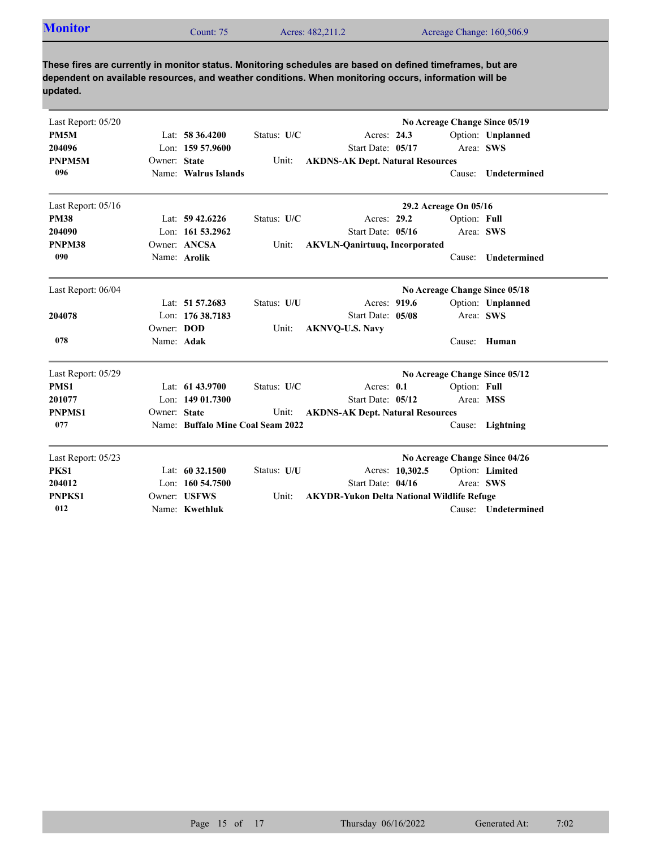|--|

| Last Report: 05/20 |              |                                   |             |                                                   |                 |                       | No Acreage Change Since 05/19 |
|--------------------|--------------|-----------------------------------|-------------|---------------------------------------------------|-----------------|-----------------------|-------------------------------|
| <b>PM5M</b>        |              | Lat: $58\,36.4200$                | Status: U/C | Acres: 24.3                                       |                 |                       | Option: Unplanned             |
| 204096             |              | Lon: 159 57.9600                  |             | Start Date: 05/17                                 |                 |                       | Area: SWS                     |
| PNPM5M             | Owner: State |                                   | Unit:       | <b>AKDNS-AK Dept. Natural Resources</b>           |                 |                       |                               |
| 096                |              | Name: Walrus Islands              |             |                                                   |                 | Cause:                | <b>Undetermined</b>           |
| Last Report: 05/16 |              |                                   |             |                                                   |                 | 29.2 Acreage On 05/16 |                               |
| <b>PM38</b>        |              | Lat: $59\,42.6226$                | Status: U/C | Acres: 29.2                                       |                 | Option: Full          |                               |
| 204090             |              | Lon: 161 53.2962                  |             | Start Date: 05/16                                 |                 |                       | Area: SWS                     |
| PNPM38             |              | Owner: ANCSA                      | Unit:       | <b>AKVLN-Qanirtuuq, Incorporated</b>              |                 |                       |                               |
| 090                |              | Name: Arolik                      |             |                                                   |                 | Cause:                | Undetermined                  |
| Last Report: 06/04 |              |                                   |             |                                                   |                 |                       | No Acreage Change Since 05/18 |
|                    |              | Lat: 51 57.2683                   | Status: U/U | Acres: 919.6                                      |                 |                       | Option: Unplanned             |
| 204078             |              | Lon: 176 38.7183                  |             | Start Date: 05/08                                 |                 |                       | Area: SWS                     |
|                    | Owner: DOD   |                                   | Unit:       | <b>AKNVQ-U.S. Navy</b>                            |                 |                       |                               |
| 078                | Name: Adak   |                                   |             |                                                   |                 |                       | Cause: Human                  |
| Last Report: 05/29 |              |                                   |             |                                                   |                 |                       | No Acreage Change Since 05/12 |
| PMS1               |              | Lat: $61\,43.9700$                | Status: U/C | Acres: 0.1                                        |                 | Option: Full          |                               |
| 201077             |              | Lon: $14901.7300$                 |             | Start Date: 05/12                                 |                 |                       | Area: MSS                     |
| <b>PNPMS1</b>      | Owner: State |                                   | Unit:       | <b>AKDNS-AK Dept. Natural Resources</b>           |                 |                       |                               |
| 077                |              | Name: Buffalo Mine Coal Seam 2022 |             |                                                   |                 |                       | Cause: Lightning              |
| Last Report: 05/23 |              |                                   |             |                                                   |                 |                       | No Acreage Change Since 04/26 |
| PKS1               |              | Lat: $60\,32.1500$                | Status: U/U |                                                   | Acres: 10,302.5 |                       | Option: Limited               |
| 204012             |              | Lon: $160, 54, 7500$              |             | Start Date: 04/16                                 |                 |                       | Area: SWS                     |
| <b>PNPKS1</b>      |              | Owner: USFWS                      | Unit:       | <b>AKYDR-Yukon Delta National Wildlife Refuge</b> |                 |                       |                               |
| 012                |              | Name: Kwethluk                    |             |                                                   |                 |                       | Cause: Undetermined           |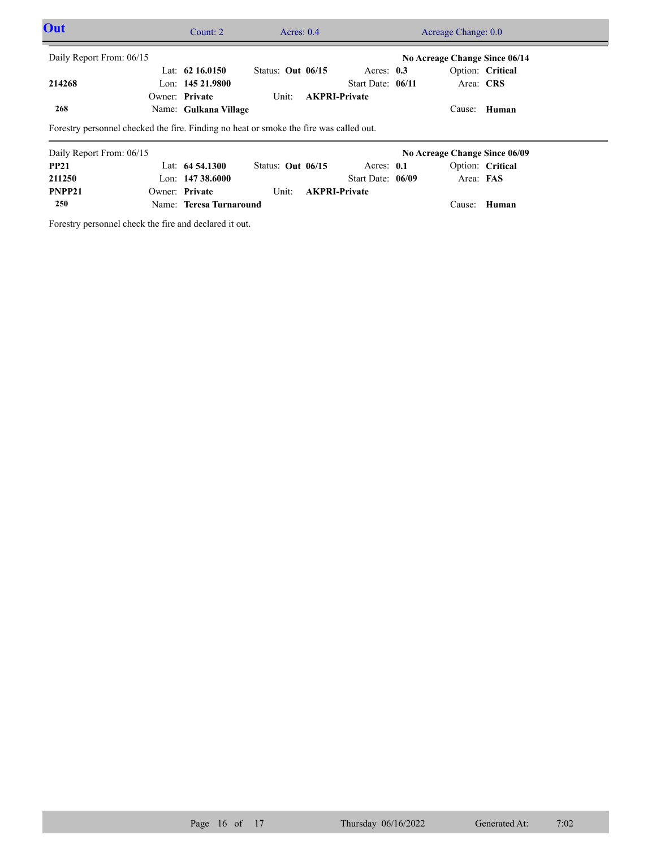| Out                      |  | Count: $2 \overline{ }$ | Acres: $0.4$                                                                           |                      |                               | Acreage Change: 0.0           |  |  |  |
|--------------------------|--|-------------------------|----------------------------------------------------------------------------------------|----------------------|-------------------------------|-------------------------------|--|--|--|
| Daily Report From: 06/15 |  |                         |                                                                                        |                      | No Acreage Change Since 06/14 |                               |  |  |  |
|                          |  | Lat: $62\,16.0150$      | Status: Out $06/15$                                                                    | Acres: $0.3$         |                               | Option: Critical              |  |  |  |
| 214268                   |  | Lon: $14521.9800$       |                                                                                        | Start Date: 06/11    |                               | Area: CRS                     |  |  |  |
|                          |  | Owner: Private          | Unit:                                                                                  | <b>AKPRI-Private</b> |                               |                               |  |  |  |
| 268                      |  | Name: Gulkana Village   |                                                                                        |                      |                               | Cause: Human                  |  |  |  |
|                          |  |                         | Forestry personnel checked the fire. Finding no heat or smoke the fire was called out. |                      |                               |                               |  |  |  |
| Daily Report From: 06/15 |  |                         |                                                                                        |                      |                               | No Acreage Change Since 06/09 |  |  |  |
| <b>PP21</b>              |  | Lat: $64\,54.1300$      | Status: Out $06/15$                                                                    | Acres: $0.1$         |                               | Option: Critical              |  |  |  |
| 211250                   |  | Lon: $14738.6000$       |                                                                                        | Start Date: 06/09    |                               | Area: FAS                     |  |  |  |

Unit: **AKPRI-Private** 

Forestry personnel check the fire and declared it out.

**250**

**PNPP21**

Name: **Teresa Turnaround**

Owner: Private

Cause: **Human**